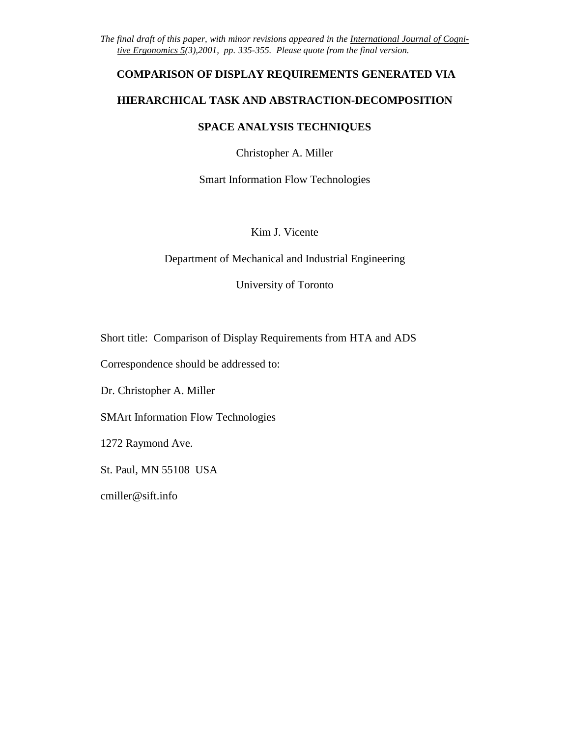*The final draft of this paper, with minor revisions appeared in the International Journal of Cognitive Ergonomics 5(3),2001, pp. 335-355. Please quote from the final version.* 

### **COMPARISON OF DISPLAY REQUIREMENTS GENERATED VIA**

### **HIERARCHICAL TASK AND ABSTRACTION-DECOMPOSITION**

### **SPACE ANALYSIS TECHNIQUES**

Christopher A. Miller

Smart Information Flow Technologies

Kim J. Vicente

Department of Mechanical and Industrial Engineering

University of Toronto

Short title: Comparison of Display Requirements from HTA and ADS

Correspondence should be addressed to:

Dr. Christopher A. Miller

SMArt Information Flow Technologies

1272 Raymond Ave.

St. Paul, MN 55108 USA

cmiller@sift.info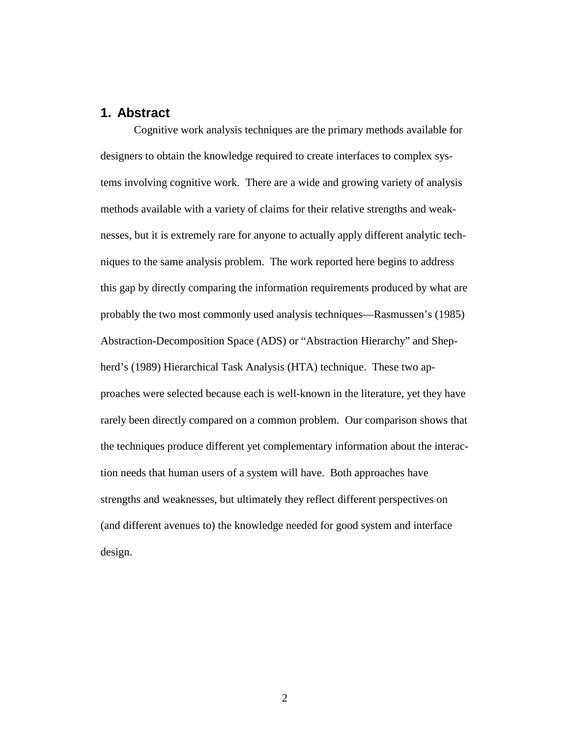## **1. Abstract**

Cognitive work analysis techniques are the primary methods available for designers to obtain the knowledge required to create interfaces to complex systems involving cognitive work. There are a wide and growing variety of analysis methods available with a variety of claims for their relative strengths and weaknesses, but it is extremely rare for anyone to actually apply different analytic techniques to the same analysis problem. The work reported here begins to address this gap by directly comparing the information requirements produced by what are probably the two most commonly used analysis techniques—Rasmussen's (1985) Abstraction-Decomposition Space (ADS) or "Abstraction Hierarchy" and Shepherd's (1989) Hierarchical Task Analysis (HTA) technique. These two approaches were selected because each is well-known in the literature, yet they have rarely been directly compared on a common problem. Our comparison shows that the techniques produce different yet complementary information about the interaction needs that human users of a system will have. Both approaches have strengths and weaknesses, but ultimately they reflect different perspectives on (and different avenues to) the knowledge needed for good system and interface design.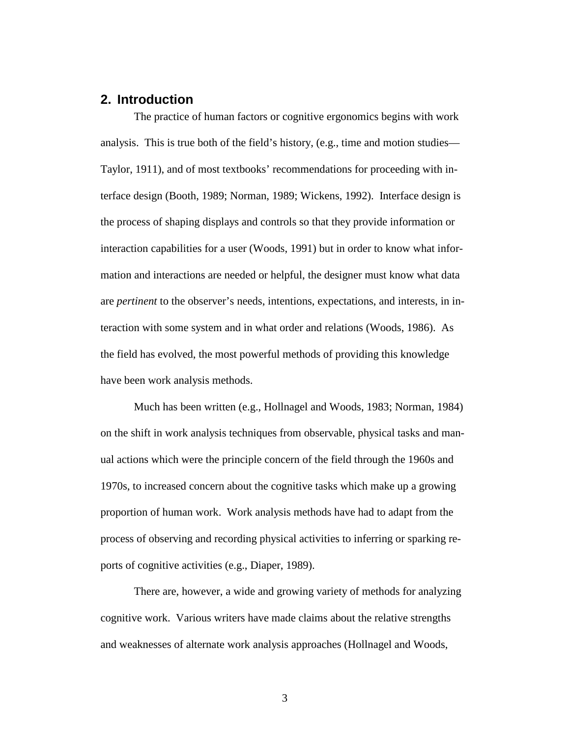# **2. Introduction**

The practice of human factors or cognitive ergonomics begins with work analysis. This is true both of the field's history, (e.g., time and motion studies— Taylor, 1911), and of most textbooks' recommendations for proceeding with interface design (Booth, 1989; Norman, 1989; Wickens, 1992). Interface design is the process of shaping displays and controls so that they provide information or interaction capabilities for a user (Woods, 1991) but in order to know what information and interactions are needed or helpful, the designer must know what data are *pertinent* to the observer's needs, intentions, expectations, and interests, in interaction with some system and in what order and relations (Woods, 1986). As the field has evolved, the most powerful methods of providing this knowledge have been work analysis methods.

Much has been written (e.g., Hollnagel and Woods, 1983; Norman, 1984) on the shift in work analysis techniques from observable, physical tasks and manual actions which were the principle concern of the field through the 1960s and 1970s, to increased concern about the cognitive tasks which make up a growing proportion of human work. Work analysis methods have had to adapt from the process of observing and recording physical activities to inferring or sparking reports of cognitive activities (e.g., Diaper, 1989).

There are, however, a wide and growing variety of methods for analyzing cognitive work. Various writers have made claims about the relative strengths and weaknesses of alternate work analysis approaches (Hollnagel and Woods,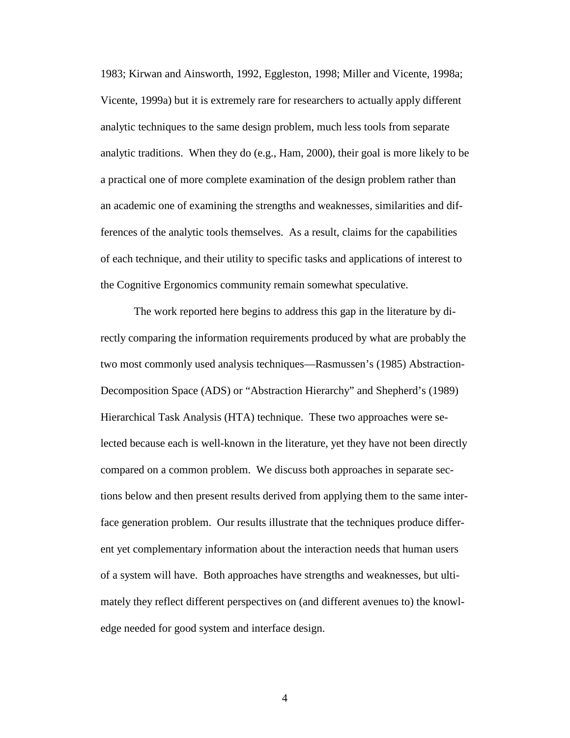1983; Kirwan and Ainsworth, 1992, Eggleston, 1998; Miller and Vicente, 1998a; Vicente, 1999a) but it is extremely rare for researchers to actually apply different analytic techniques to the same design problem, much less tools from separate analytic traditions. When they do (e.g., Ham, 2000), their goal is more likely to be a practical one of more complete examination of the design problem rather than an academic one of examining the strengths and weaknesses, similarities and differences of the analytic tools themselves. As a result, claims for the capabilities of each technique, and their utility to specific tasks and applications of interest to the Cognitive Ergonomics community remain somewhat speculative.

The work reported here begins to address this gap in the literature by directly comparing the information requirements produced by what are probably the two most commonly used analysis techniques—Rasmussen's (1985) Abstraction-Decomposition Space (ADS) or "Abstraction Hierarchy" and Shepherd's (1989) Hierarchical Task Analysis (HTA) technique. These two approaches were selected because each is well-known in the literature, yet they have not been directly compared on a common problem. We discuss both approaches in separate sections below and then present results derived from applying them to the same interface generation problem. Our results illustrate that the techniques produce different yet complementary information about the interaction needs that human users of a system will have. Both approaches have strengths and weaknesses, but ultimately they reflect different perspectives on (and different avenues to) the knowledge needed for good system and interface design.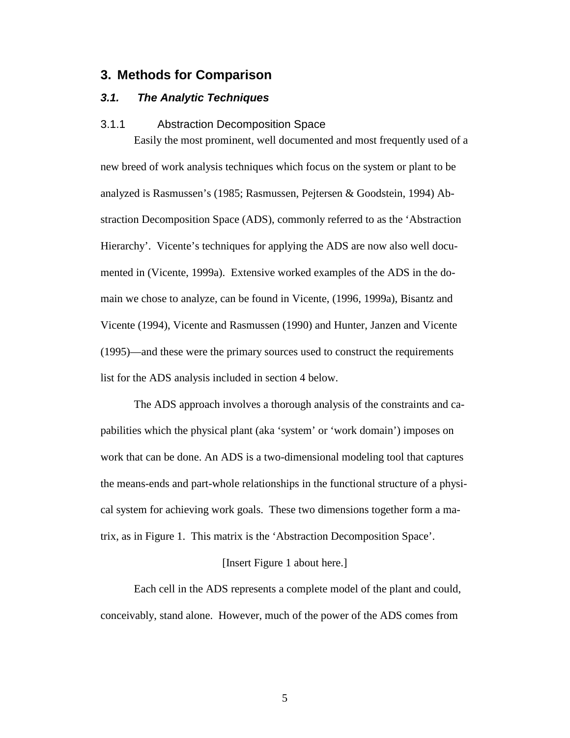## **3. Methods for Comparison**

### **3.1. The Analytic Techniques**

#### 3.1.1 Abstraction Decomposition Space

Easily the most prominent, well documented and most frequently used of a new breed of work analysis techniques which focus on the system or plant to be analyzed is Rasmussen's (1985; Rasmussen, Pejtersen & Goodstein, 1994) Abstraction Decomposition Space (ADS), commonly referred to as the 'Abstraction Hierarchy'. Vicente's techniques for applying the ADS are now also well documented in (Vicente, 1999a). Extensive worked examples of the ADS in the domain we chose to analyze, can be found in Vicente, (1996, 1999a), Bisantz and Vicente (1994), Vicente and Rasmussen (1990) and Hunter, Janzen and Vicente (1995)—and these were the primary sources used to construct the requirements list for the ADS analysis included in section 4 below.

The ADS approach involves a thorough analysis of the constraints and capabilities which the physical plant (aka 'system' or 'work domain') imposes on work that can be done. An ADS is a two-dimensional modeling tool that captures the means-ends and part-whole relationships in the functional structure of a physical system for achieving work goals. These two dimensions together form a matrix, as in Figure 1. This matrix is the 'Abstraction Decomposition Space'.

#### [Insert Figure 1 about here.]

Each cell in the ADS represents a complete model of the plant and could, conceivably, stand alone. However, much of the power of the ADS comes from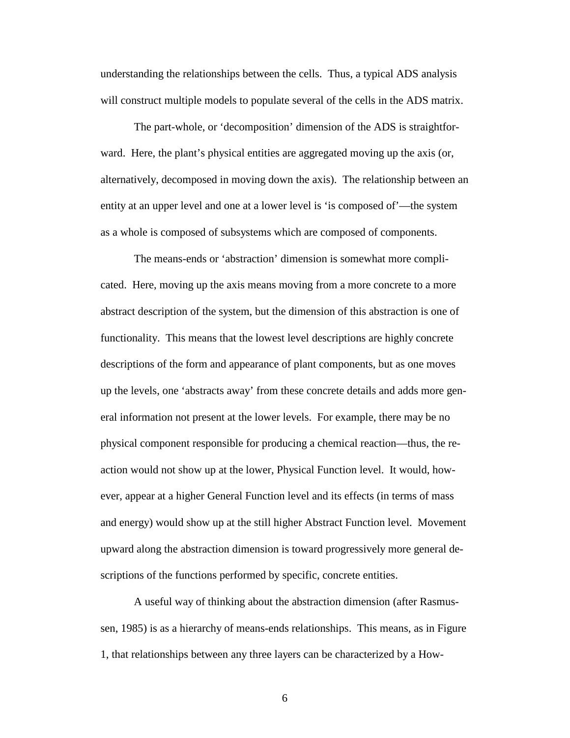understanding the relationships between the cells. Thus, a typical ADS analysis will construct multiple models to populate several of the cells in the ADS matrix.

The part-whole, or 'decomposition' dimension of the ADS is straightforward. Here, the plant's physical entities are aggregated moving up the axis (or, alternatively, decomposed in moving down the axis). The relationship between an entity at an upper level and one at a lower level is 'is composed of'—the system as a whole is composed of subsystems which are composed of components.

The means-ends or 'abstraction' dimension is somewhat more complicated. Here, moving up the axis means moving from a more concrete to a more abstract description of the system, but the dimension of this abstraction is one of functionality. This means that the lowest level descriptions are highly concrete descriptions of the form and appearance of plant components, but as one moves up the levels, one 'abstracts away' from these concrete details and adds more general information not present at the lower levels. For example, there may be no physical component responsible for producing a chemical reaction—thus, the reaction would not show up at the lower, Physical Function level. It would, however, appear at a higher General Function level and its effects (in terms of mass and energy) would show up at the still higher Abstract Function level. Movement upward along the abstraction dimension is toward progressively more general descriptions of the functions performed by specific, concrete entities.

A useful way of thinking about the abstraction dimension (after Rasmussen, 1985) is as a hierarchy of means-ends relationships. This means, as in Figure 1, that relationships between any three layers can be characterized by a How-

 $\sim$  6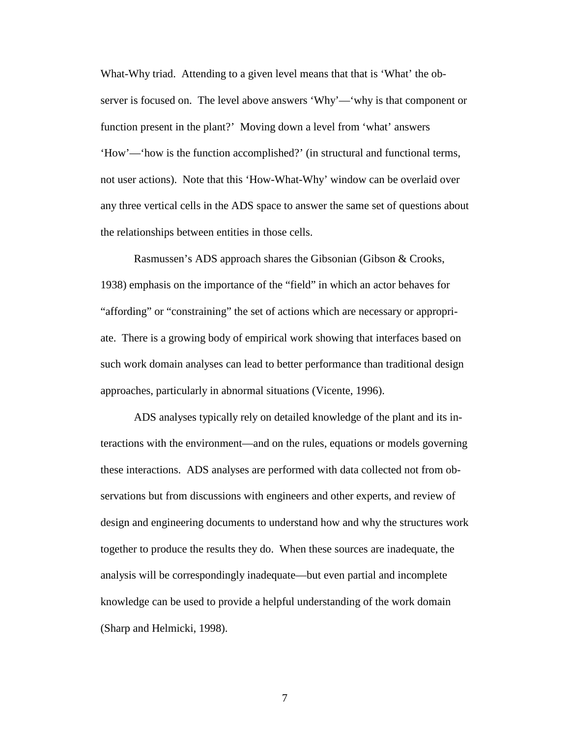What-Why triad. Attending to a given level means that that is 'What' the observer is focused on. The level above answers 'Why'—'why is that component or function present in the plant?' Moving down a level from 'what' answers 'How'—'how is the function accomplished?' (in structural and functional terms, not user actions). Note that this 'How-What-Why' window can be overlaid over any three vertical cells in the ADS space to answer the same set of questions about the relationships between entities in those cells.

Rasmussen's ADS approach shares the Gibsonian (Gibson & Crooks, 1938) emphasis on the importance of the "field" in which an actor behaves for "affording" or "constraining" the set of actions which are necessary or appropriate. There is a growing body of empirical work showing that interfaces based on such work domain analyses can lead to better performance than traditional design approaches, particularly in abnormal situations (Vicente, 1996).

ADS analyses typically rely on detailed knowledge of the plant and its interactions with the environment—and on the rules, equations or models governing these interactions. ADS analyses are performed with data collected not from observations but from discussions with engineers and other experts, and review of design and engineering documents to understand how and why the structures work together to produce the results they do. When these sources are inadequate, the analysis will be correspondingly inadequate—but even partial and incomplete knowledge can be used to provide a helpful understanding of the work domain (Sharp and Helmicki, 1998).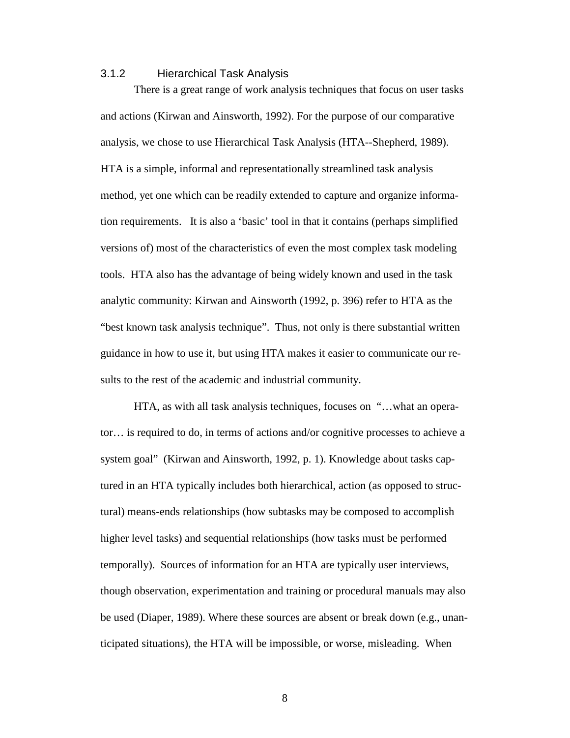### 3.1.2 Hierarchical Task Analysis

There is a great range of work analysis techniques that focus on user tasks and actions (Kirwan and Ainsworth, 1992). For the purpose of our comparative analysis, we chose to use Hierarchical Task Analysis (HTA--Shepherd, 1989). HTA is a simple, informal and representationally streamlined task analysis method, yet one which can be readily extended to capture and organize information requirements. It is also a 'basic' tool in that it contains (perhaps simplified versions of) most of the characteristics of even the most complex task modeling tools. HTA also has the advantage of being widely known and used in the task analytic community: Kirwan and Ainsworth (1992, p. 396) refer to HTA as the "best known task analysis technique". Thus, not only is there substantial written guidance in how to use it, but using HTA makes it easier to communicate our results to the rest of the academic and industrial community.

HTA, as with all task analysis techniques, focuses on "…what an operator… is required to do, in terms of actions and/or cognitive processes to achieve a system goal" (Kirwan and Ainsworth, 1992, p. 1). Knowledge about tasks captured in an HTA typically includes both hierarchical, action (as opposed to structural) means-ends relationships (how subtasks may be composed to accomplish higher level tasks) and sequential relationships (how tasks must be performed temporally). Sources of information for an HTA are typically user interviews, though observation, experimentation and training or procedural manuals may also be used (Diaper, 1989). Where these sources are absent or break down (e.g., unanticipated situations), the HTA will be impossible, or worse, misleading. When

8 and 20 and 20 and 20 and 20 and 20 and 20 and 20 and 20 and 20 and 20 and 20 and 20 and 20 and 20 and 20 and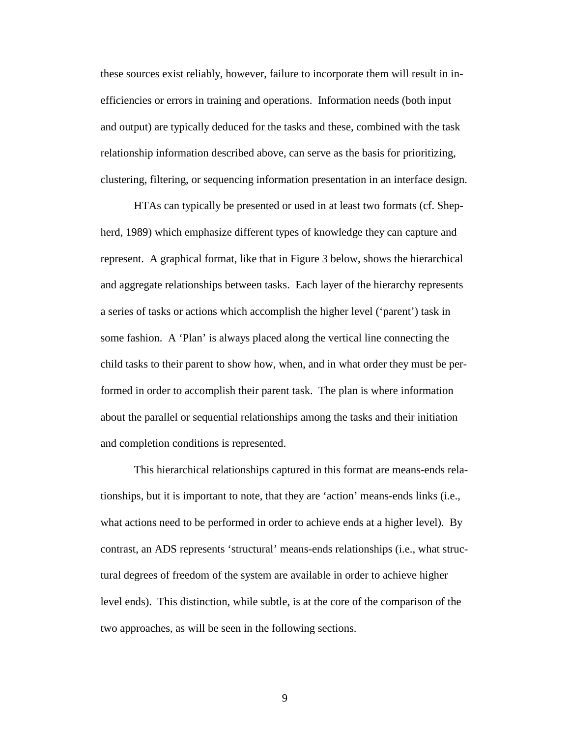these sources exist reliably, however, failure to incorporate them will result in inefficiencies or errors in training and operations. Information needs (both input and output) are typically deduced for the tasks and these, combined with the task relationship information described above, can serve as the basis for prioritizing, clustering, filtering, or sequencing information presentation in an interface design.

HTAs can typically be presented or used in at least two formats (cf. Shepherd, 1989) which emphasize different types of knowledge they can capture and represent. A graphical format, like that in Figure 3 below, shows the hierarchical and aggregate relationships between tasks. Each layer of the hierarchy represents a series of tasks or actions which accomplish the higher level ('parent') task in some fashion. A 'Plan' is always placed along the vertical line connecting the child tasks to their parent to show how, when, and in what order they must be performed in order to accomplish their parent task. The plan is where information about the parallel or sequential relationships among the tasks and their initiation and completion conditions is represented.

This hierarchical relationships captured in this format are means-ends relationships, but it is important to note, that they are 'action' means-ends links (i.e., what actions need to be performed in order to achieve ends at a higher level). By contrast, an ADS represents 'structural' means-ends relationships (i.e., what structural degrees of freedom of the system are available in order to achieve higher level ends). This distinction, while subtle, is at the core of the comparison of the two approaches, as will be seen in the following sections.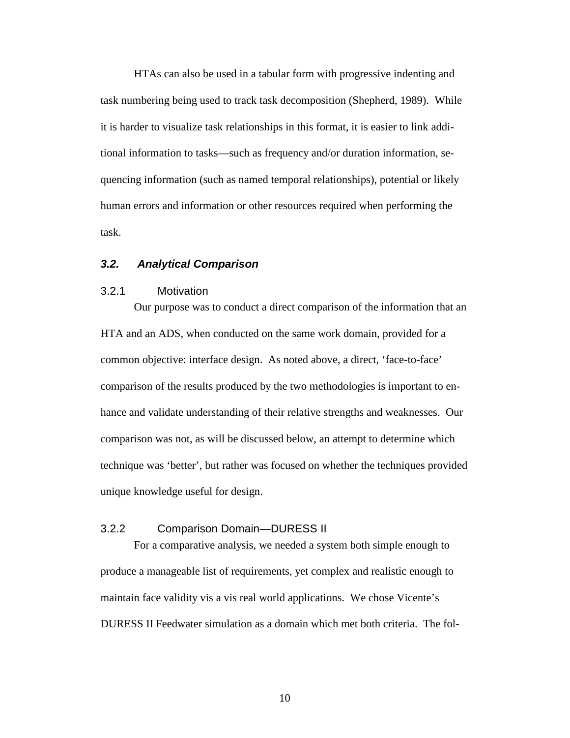HTAs can also be used in a tabular form with progressive indenting and task numbering being used to track task decomposition (Shepherd, 1989). While it is harder to visualize task relationships in this format, it is easier to link additional information to tasks—such as frequency and/or duration information, sequencing information (such as named temporal relationships), potential or likely human errors and information or other resources required when performing the task.

### **3.2. Analytical Comparison**

### 3.2.1 Motivation

Our purpose was to conduct a direct comparison of the information that an HTA and an ADS, when conducted on the same work domain, provided for a common objective: interface design. As noted above, a direct, 'face-to-face' comparison of the results produced by the two methodologies is important to enhance and validate understanding of their relative strengths and weaknesses. Our comparison was not, as will be discussed below, an attempt to determine which technique was 'better', but rather was focused on whether the techniques provided unique knowledge useful for design.

### 3.2.2 Comparison Domain—DURESS II

For a comparative analysis, we needed a system both simple enough to produce a manageable list of requirements, yet complex and realistic enough to maintain face validity vis a vis real world applications. We chose Vicente's DURESS II Feedwater simulation as a domain which met both criteria. The fol-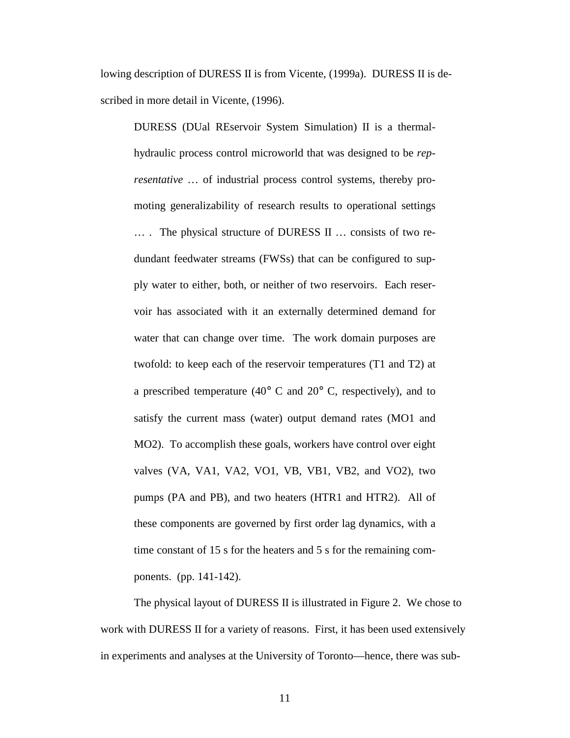lowing description of DURESS II is from Vicente, (1999a). DURESS II is described in more detail in Vicente, (1996).

DURESS (DUal REservoir System Simulation) II is a thermalhydraulic process control microworld that was designed to be *representative* … of industrial process control systems, thereby promoting generalizability of research results to operational settings … . The physical structure of DURESS II … consists of two redundant feedwater streams (FWSs) that can be configured to supply water to either, both, or neither of two reservoirs. Each reservoir has associated with it an externally determined demand for water that can change over time. The work domain purposes are twofold: to keep each of the reservoir temperatures (T1 and T2) at a prescribed temperature (40 $\degree$  C and 20 $\degree$  C, respectively), and to satisfy the current mass (water) output demand rates (MO1 and MO2). To accomplish these goals, workers have control over eight valves (VA, VA1, VA2, VO1, VB, VB1, VB2, and VO2), two pumps (PA and PB), and two heaters (HTR1 and HTR2). All of these components are governed by first order lag dynamics, with a time constant of 15 s for the heaters and 5 s for the remaining components. (pp. 141-142).

The physical layout of DURESS II is illustrated in Figure 2. We chose to work with DURESS II for a variety of reasons. First, it has been used extensively in experiments and analyses at the University of Toronto—hence, there was sub-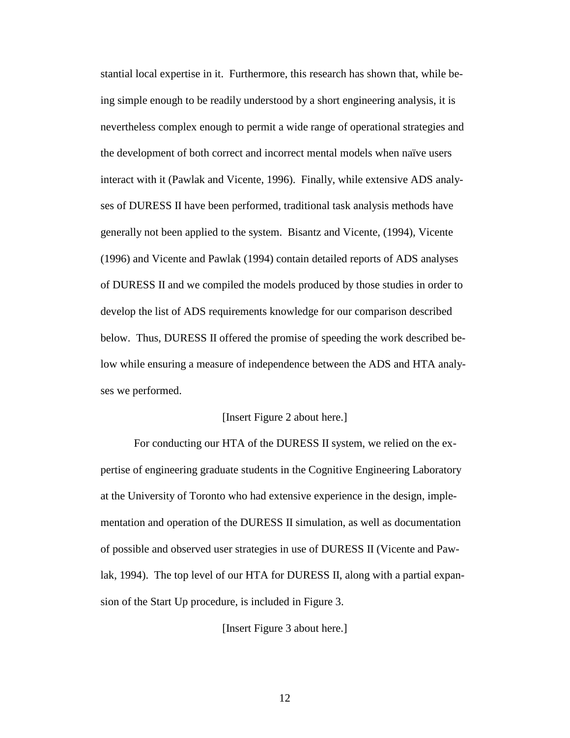stantial local expertise in it. Furthermore, this research has shown that, while being simple enough to be readily understood by a short engineering analysis, it is nevertheless complex enough to permit a wide range of operational strategies and the development of both correct and incorrect mental models when naïve users interact with it (Pawlak and Vicente, 1996). Finally, while extensive ADS analyses of DURESS II have been performed, traditional task analysis methods have generally not been applied to the system. Bisantz and Vicente, (1994), Vicente (1996) and Vicente and Pawlak (1994) contain detailed reports of ADS analyses of DURESS II and we compiled the models produced by those studies in order to develop the list of ADS requirements knowledge for our comparison described below. Thus, DURESS II offered the promise of speeding the work described below while ensuring a measure of independence between the ADS and HTA analyses we performed.

### [Insert Figure 2 about here.]

For conducting our HTA of the DURESS II system, we relied on the expertise of engineering graduate students in the Cognitive Engineering Laboratory at the University of Toronto who had extensive experience in the design, implementation and operation of the DURESS II simulation, as well as documentation of possible and observed user strategies in use of DURESS II (Vicente and Pawlak, 1994). The top level of our HTA for DURESS II, along with a partial expansion of the Start Up procedure, is included in Figure 3.

[Insert Figure 3 about here.]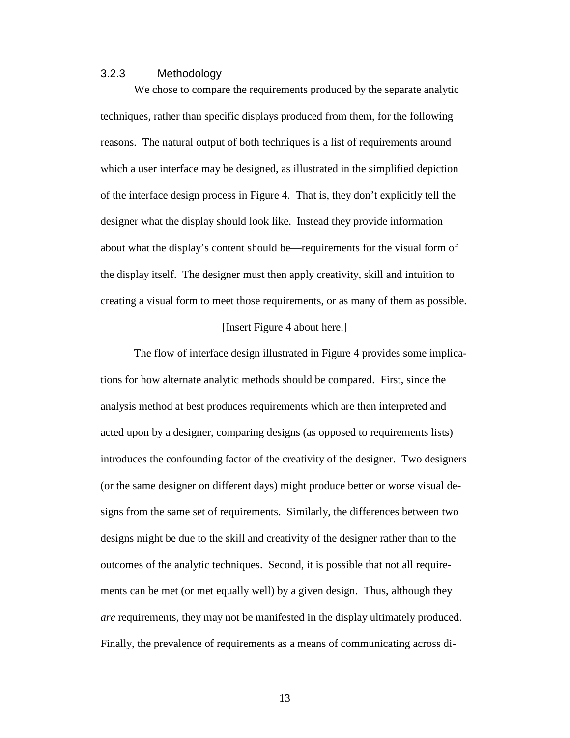### 3.2.3 Methodology

We chose to compare the requirements produced by the separate analytic techniques, rather than specific displays produced from them, for the following reasons. The natural output of both techniques is a list of requirements around which a user interface may be designed, as illustrated in the simplified depiction of the interface design process in Figure 4. That is, they don't explicitly tell the designer what the display should look like. Instead they provide information about what the display's content should be—requirements for the visual form of the display itself. The designer must then apply creativity, skill and intuition to creating a visual form to meet those requirements, or as many of them as possible.

#### [Insert Figure 4 about here.]

The flow of interface design illustrated in Figure 4 provides some implications for how alternate analytic methods should be compared. First, since the analysis method at best produces requirements which are then interpreted and acted upon by a designer, comparing designs (as opposed to requirements lists) introduces the confounding factor of the creativity of the designer. Two designers (or the same designer on different days) might produce better or worse visual designs from the same set of requirements. Similarly, the differences between two designs might be due to the skill and creativity of the designer rather than to the outcomes of the analytic techniques. Second, it is possible that not all requirements can be met (or met equally well) by a given design. Thus, although they *are* requirements, they may not be manifested in the display ultimately produced. Finally, the prevalence of requirements as a means of communicating across di-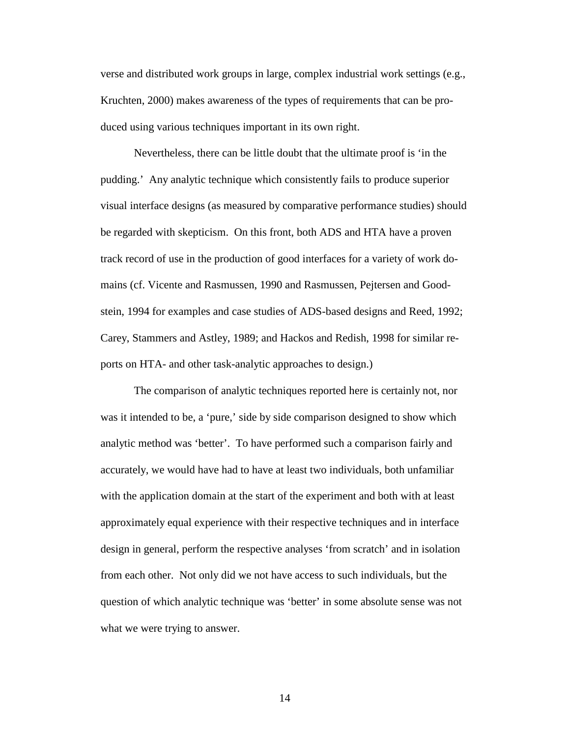verse and distributed work groups in large, complex industrial work settings (e.g., Kruchten, 2000) makes awareness of the types of requirements that can be produced using various techniques important in its own right.

Nevertheless, there can be little doubt that the ultimate proof is 'in the pudding.' Any analytic technique which consistently fails to produce superior visual interface designs (as measured by comparative performance studies) should be regarded with skepticism. On this front, both ADS and HTA have a proven track record of use in the production of good interfaces for a variety of work domains (cf. Vicente and Rasmussen, 1990 and Rasmussen, Pejtersen and Goodstein, 1994 for examples and case studies of ADS-based designs and Reed, 1992; Carey, Stammers and Astley, 1989; and Hackos and Redish, 1998 for similar reports on HTA- and other task-analytic approaches to design.)

The comparison of analytic techniques reported here is certainly not, nor was it intended to be, a 'pure,' side by side comparison designed to show which analytic method was 'better'. To have performed such a comparison fairly and accurately, we would have had to have at least two individuals, both unfamiliar with the application domain at the start of the experiment and both with at least approximately equal experience with their respective techniques and in interface design in general, perform the respective analyses 'from scratch' and in isolation from each other. Not only did we not have access to such individuals, but the question of which analytic technique was 'better' in some absolute sense was not what we were trying to answer.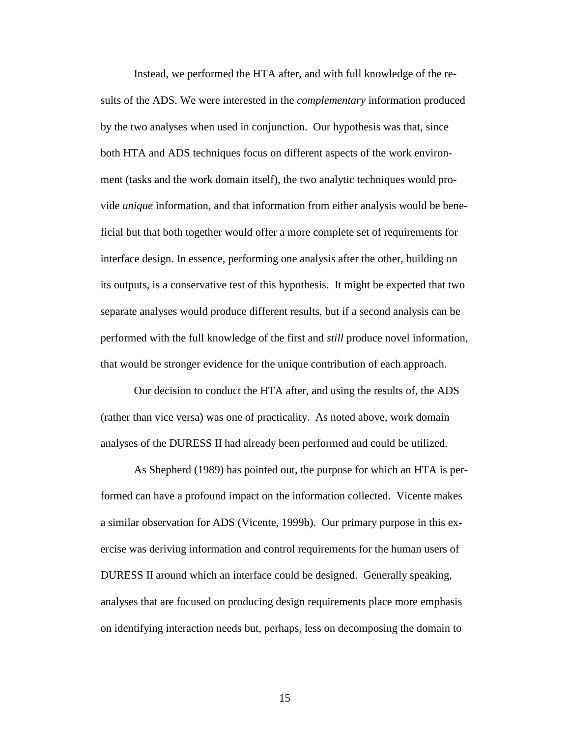Instead, we performed the HTA after, and with full knowledge of the results of the ADS. We were interested in the *complementary* information produced by the two analyses when used in conjunction.Our hypothesis was that, since both HTA and ADS techniques focus on different aspects of the work environment (tasks and the work domain itself), the two analytic techniques would provide *unique* information, and that information from either analysis would be beneficial but that both together would offer a more complete set of requirements for interface design. In essence, performing one analysis after the other, building on its outputs, is a conservative test of this hypothesis. It might be expected that two separate analyses would produce different results, but if a second analysis can be performed with the full knowledge of the first and *still* produce novel information, that would be stronger evidence for the unique contribution of each approach.

Our decision to conduct the HTA after, and using the results of, the ADS (rather than vice versa) was one of practicality. As noted above, work domain analyses of the DURESS II had already been performed and could be utilized.

As Shepherd (1989) has pointed out, the purpose for which an HTA is performed can have a profound impact on the information collected. Vicente makes a similar observation for ADS (Vicente, 1999b). Our primary purpose in this exercise was deriving information and control requirements for the human users of DURESS II around which an interface could be designed. Generally speaking, analyses that are focused on producing design requirements place more emphasis on identifying interaction needs but, perhaps, less on decomposing the domain to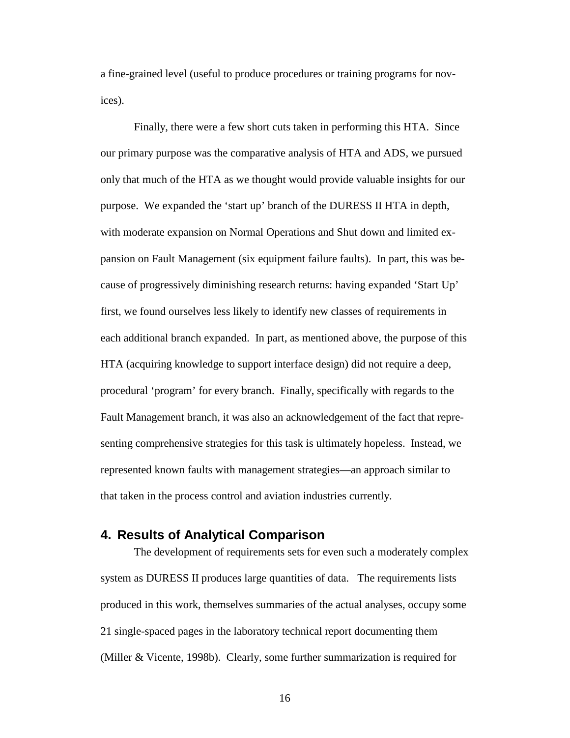a fine-grained level (useful to produce procedures or training programs for novices).

Finally, there were a few short cuts taken in performing this HTA. Since our primary purpose was the comparative analysis of HTA and ADS, we pursued only that much of the HTA as we thought would provide valuable insights for our purpose. We expanded the 'start up' branch of the DURESS II HTA in depth, with moderate expansion on Normal Operations and Shut down and limited expansion on Fault Management (six equipment failure faults). In part, this was because of progressively diminishing research returns: having expanded 'Start Up' first, we found ourselves less likely to identify new classes of requirements in each additional branch expanded. In part, as mentioned above, the purpose of this HTA (acquiring knowledge to support interface design) did not require a deep, procedural 'program' for every branch. Finally, specifically with regards to the Fault Management branch, it was also an acknowledgement of the fact that representing comprehensive strategies for this task is ultimately hopeless. Instead, we represented known faults with management strategies—an approach similar to that taken in the process control and aviation industries currently.

# **4. Results of Analytical Comparison**

The development of requirements sets for even such a moderately complex system as DURESS II produces large quantities of data. The requirements lists produced in this work, themselves summaries of the actual analyses, occupy some 21 single-spaced pages in the laboratory technical report documenting them (Miller & Vicente, 1998b). Clearly, some further summarization is required for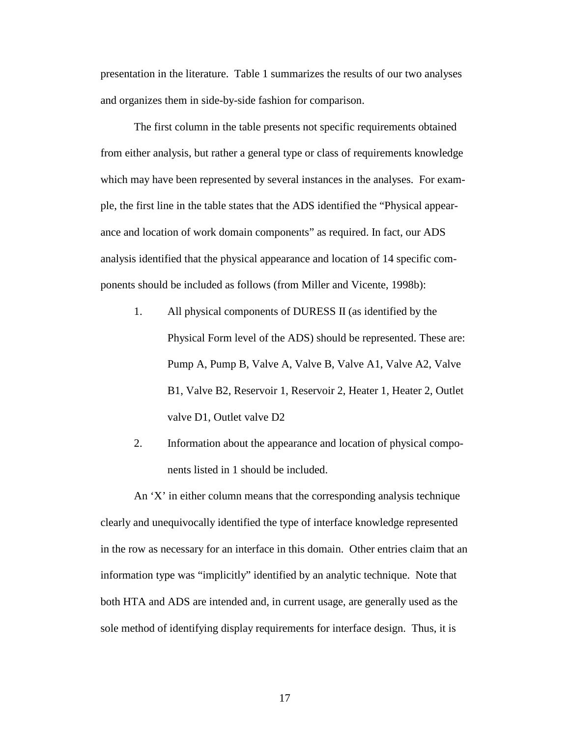presentation in the literature. Table 1 summarizes the results of our two analyses and organizes them in side-by-side fashion for comparison.

The first column in the table presents not specific requirements obtained from either analysis, but rather a general type or class of requirements knowledge which may have been represented by several instances in the analyses. For example, the first line in the table states that the ADS identified the "Physical appearance and location of work domain components" as required. In fact, our ADS analysis identified that the physical appearance and location of 14 specific components should be included as follows (from Miller and Vicente, 1998b):

- 1. All physical components of DURESS II (as identified by the Physical Form level of the ADS) should be represented. These are: Pump A, Pump B, Valve A, Valve B, Valve A1, Valve A2, Valve B1, Valve B2, Reservoir 1, Reservoir 2, Heater 1, Heater 2, Outlet valve D1, Outlet valve D2
- 2. Information about the appearance and location of physical components listed in 1 should be included.

An 'X' in either column means that the corresponding analysis technique clearly and unequivocally identified the type of interface knowledge represented in the row as necessary for an interface in this domain. Other entries claim that an information type was "implicitly" identified by an analytic technique. Note that both HTA and ADS are intended and, in current usage, are generally used as the sole method of identifying display requirements for interface design. Thus, it is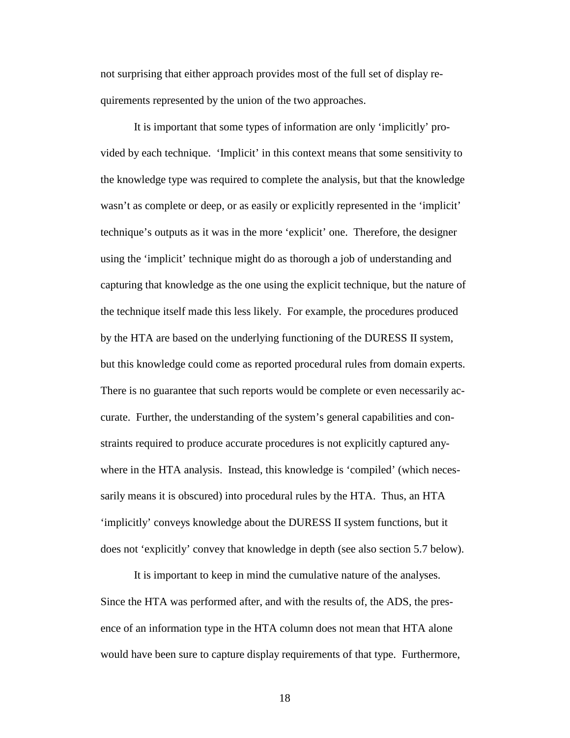not surprising that either approach provides most of the full set of display requirements represented by the union of the two approaches.

It is important that some types of information are only 'implicitly' provided by each technique. 'Implicit' in this context means that some sensitivity to the knowledge type was required to complete the analysis, but that the knowledge wasn't as complete or deep, or as easily or explicitly represented in the 'implicit' technique's outputs as it was in the more 'explicit' one. Therefore, the designer using the 'implicit' technique might do as thorough a job of understanding and capturing that knowledge as the one using the explicit technique, but the nature of the technique itself made this less likely. For example, the procedures produced by the HTA are based on the underlying functioning of the DURESS II system, but this knowledge could come as reported procedural rules from domain experts. There is no guarantee that such reports would be complete or even necessarily accurate. Further, the understanding of the system's general capabilities and constraints required to produce accurate procedures is not explicitly captured anywhere in the HTA analysis. Instead, this knowledge is 'compiled' (which necessarily means it is obscured) into procedural rules by the HTA. Thus, an HTA 'implicitly' conveys knowledge about the DURESS II system functions, but it does not 'explicitly' convey that knowledge in depth (see also section 5.7 below).

It is important to keep in mind the cumulative nature of the analyses. Since the HTA was performed after, and with the results of, the ADS, the presence of an information type in the HTA column does not mean that HTA alone would have been sure to capture display requirements of that type. Furthermore,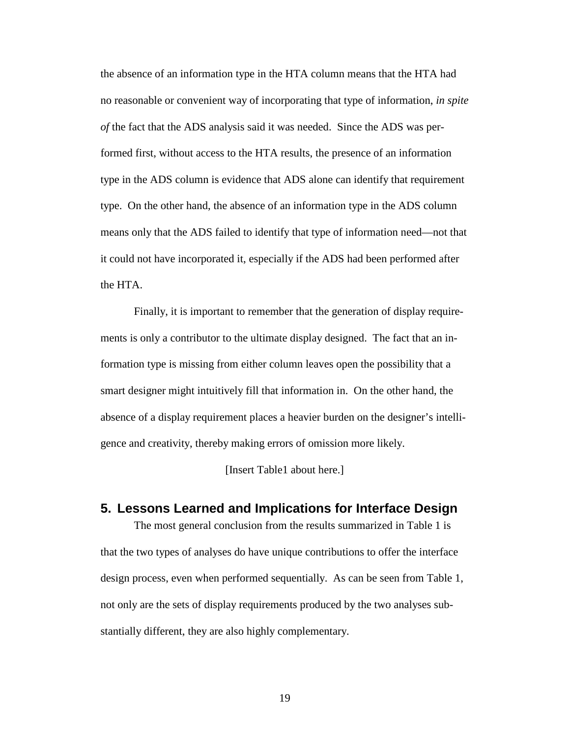the absence of an information type in the HTA column means that the HTA had no reasonable or convenient way of incorporating that type of information, *in spite of* the fact that the ADS analysis said it was needed. Since the ADS was performed first, without access to the HTA results, the presence of an information type in the ADS column is evidence that ADS alone can identify that requirement type. On the other hand, the absence of an information type in the ADS column means only that the ADS failed to identify that type of information need—not that it could not have incorporated it, especially if the ADS had been performed after the HTA.

Finally, it is important to remember that the generation of display requirements is only a contributor to the ultimate display designed. The fact that an information type is missing from either column leaves open the possibility that a smart designer might intuitively fill that information in. On the other hand, the absence of a display requirement places a heavier burden on the designer's intelligence and creativity, thereby making errors of omission more likely.

[Insert Table1 about here.]

### **5. Lessons Learned and Implications for Interface Design**

The most general conclusion from the results summarized in Table 1 is that the two types of analyses do have unique contributions to offer the interface design process, even when performed sequentially. As can be seen from Table 1, not only are the sets of display requirements produced by the two analyses substantially different, they are also highly complementary.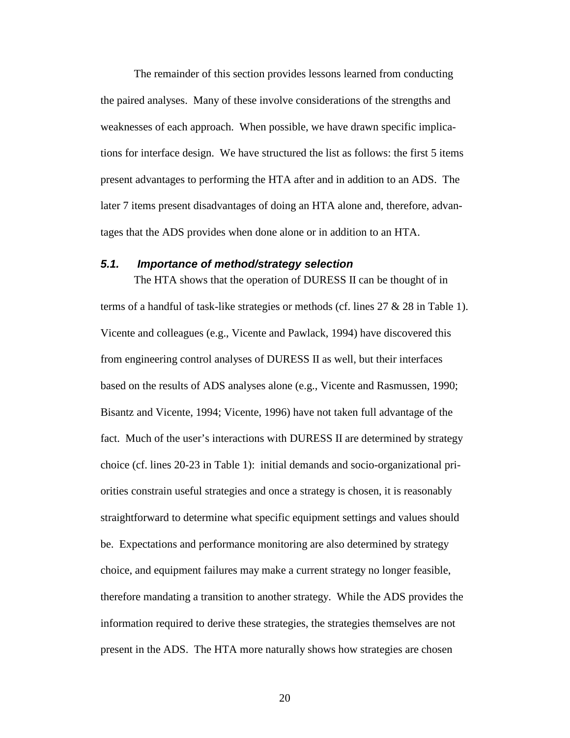The remainder of this section provides lessons learned from conducting the paired analyses. Many of these involve considerations of the strengths and weaknesses of each approach. When possible, we have drawn specific implications for interface design. We have structured the list as follows: the first 5 items present advantages to performing the HTA after and in addition to an ADS. The later 7 items present disadvantages of doing an HTA alone and, therefore, advantages that the ADS provides when done alone or in addition to an HTA.

### **5.1. Importance of method/strategy selection**

The HTA shows that the operation of DURESS II can be thought of in terms of a handful of task-like strategies or methods (cf. lines 27 & 28 in Table 1). Vicente and colleagues (e.g., Vicente and Pawlack, 1994) have discovered this from engineering control analyses of DURESS II as well, but their interfaces based on the results of ADS analyses alone (e.g., Vicente and Rasmussen, 1990; Bisantz and Vicente, 1994; Vicente, 1996) have not taken full advantage of the fact. Much of the user's interactions with DURESS II are determined by strategy choice (cf. lines 20-23 in Table 1): initial demands and socio-organizational priorities constrain useful strategies and once a strategy is chosen, it is reasonably straightforward to determine what specific equipment settings and values should be. Expectations and performance monitoring are also determined by strategy choice, and equipment failures may make a current strategy no longer feasible, therefore mandating a transition to another strategy. While the ADS provides the information required to derive these strategies, the strategies themselves are not present in the ADS. The HTA more naturally shows how strategies are chosen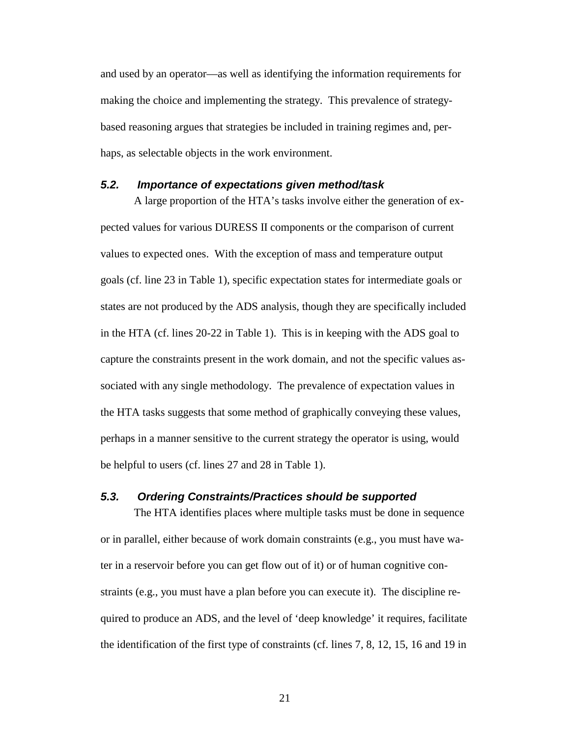and used by an operator—as well as identifying the information requirements for making the choice and implementing the strategy. This prevalence of strategybased reasoning argues that strategies be included in training regimes and, perhaps, as selectable objects in the work environment.

### **5.2. Importance of expectations given method/task**

A large proportion of the HTA's tasks involve either the generation of expected values for various DURESS II components or the comparison of current values to expected ones. With the exception of mass and temperature output goals (cf. line 23 in Table 1), specific expectation states for intermediate goals or states are not produced by the ADS analysis, though they are specifically included in the HTA (cf. lines 20-22 in Table 1). This is in keeping with the ADS goal to capture the constraints present in the work domain, and not the specific values associated with any single methodology. The prevalence of expectation values in the HTA tasks suggests that some method of graphically conveying these values, perhaps in a manner sensitive to the current strategy the operator is using, would be helpful to users (cf. lines 27 and 28 in Table 1).

#### **5.3. Ordering Constraints/Practices should be supported**

The HTA identifies places where multiple tasks must be done in sequence or in parallel, either because of work domain constraints (e.g., you must have water in a reservoir before you can get flow out of it) or of human cognitive constraints (e.g., you must have a plan before you can execute it). The discipline required to produce an ADS, and the level of 'deep knowledge' it requires, facilitate the identification of the first type of constraints (cf. lines 7, 8, 12, 15, 16 and 19 in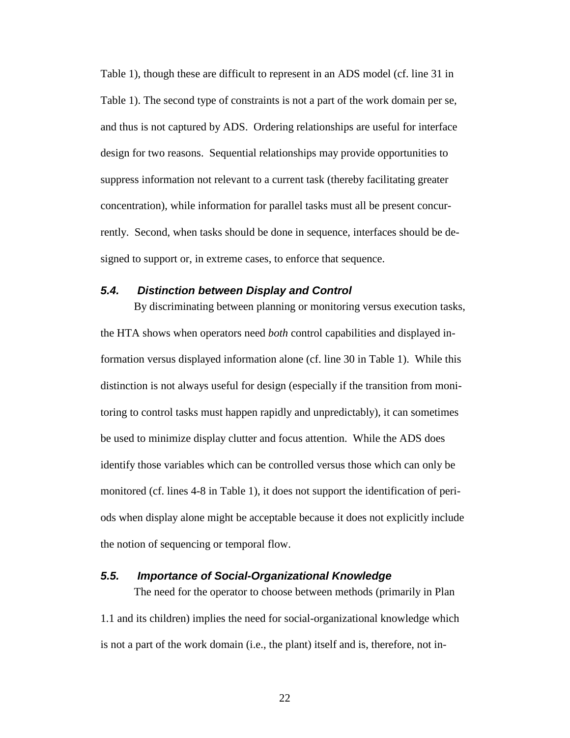Table 1), though these are difficult to represent in an ADS model (cf. line 31 in Table 1). The second type of constraints is not a part of the work domain per se, and thus is not captured by ADS. Ordering relationships are useful for interface design for two reasons. Sequential relationships may provide opportunities to suppress information not relevant to a current task (thereby facilitating greater concentration), while information for parallel tasks must all be present concurrently. Second, when tasks should be done in sequence, interfaces should be designed to support or, in extreme cases, to enforce that sequence.

### **5.4. Distinction between Display and Control**

By discriminating between planning or monitoring versus execution tasks, the HTA shows when operators need *both* control capabilities and displayed information versus displayed information alone (cf. line 30 in Table 1). While this distinction is not always useful for design (especially if the transition from monitoring to control tasks must happen rapidly and unpredictably), it can sometimes be used to minimize display clutter and focus attention. While the ADS does identify those variables which can be controlled versus those which can only be monitored (cf. lines 4-8 in Table 1), it does not support the identification of periods when display alone might be acceptable because it does not explicitly include the notion of sequencing or temporal flow.

### **5.5. Importance of Social-Organizational Knowledge**

The need for the operator to choose between methods (primarily in Plan 1.1 and its children) implies the need for social-organizational knowledge which is not a part of the work domain (i.e., the plant) itself and is, therefore, not in-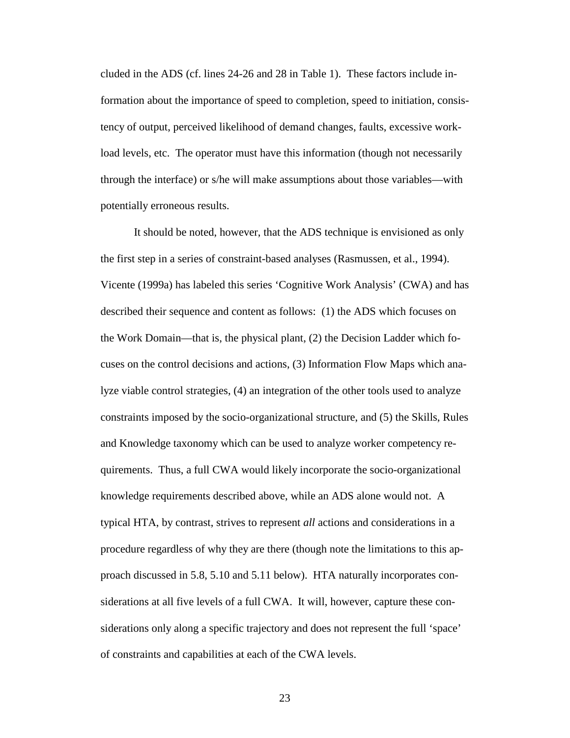cluded in the ADS (cf. lines 24-26 and 28 in Table 1). These factors include information about the importance of speed to completion, speed to initiation, consistency of output, perceived likelihood of demand changes, faults, excessive workload levels, etc. The operator must have this information (though not necessarily through the interface) or s/he will make assumptions about those variables—with potentially erroneous results.

It should be noted, however, that the ADS technique is envisioned as only the first step in a series of constraint-based analyses (Rasmussen, et al., 1994). Vicente (1999a) has labeled this series 'Cognitive Work Analysis' (CWA) and has described their sequence and content as follows: (1) the ADS which focuses on the Work Domain—that is, the physical plant, (2) the Decision Ladder which focuses on the control decisions and actions, (3) Information Flow Maps which analyze viable control strategies, (4) an integration of the other tools used to analyze constraints imposed by the socio-organizational structure, and (5) the Skills, Rules and Knowledge taxonomy which can be used to analyze worker competency requirements. Thus, a full CWA would likely incorporate the socio-organizational knowledge requirements described above, while an ADS alone would not. A typical HTA, by contrast, strives to represent *all* actions and considerations in a procedure regardless of why they are there (though note the limitations to this approach discussed in 5.8, 5.10 and 5.11 below). HTA naturally incorporates considerations at all five levels of a full CWA. It will, however, capture these considerations only along a specific trajectory and does not represent the full 'space' of constraints and capabilities at each of the CWA levels.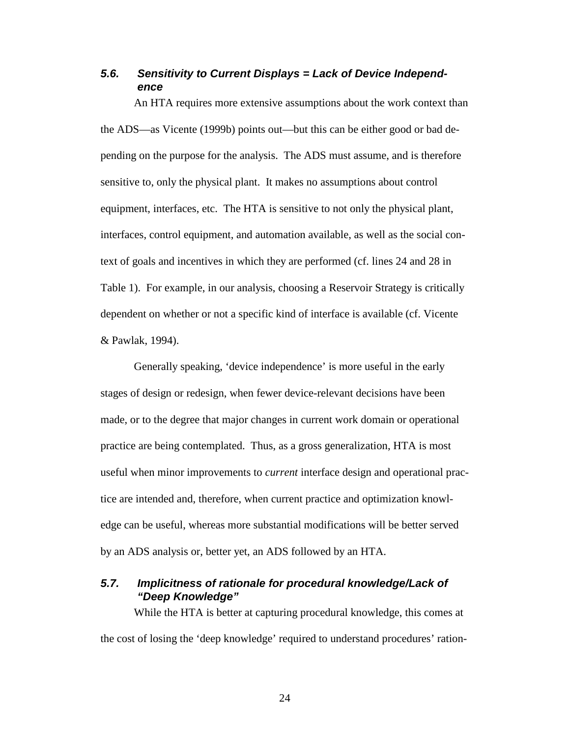# **5.6. Sensitivity to Current Displays = Lack of Device Independence**

An HTA requires more extensive assumptions about the work context than the ADS—as Vicente (1999b) points out—but this can be either good or bad depending on the purpose for the analysis. The ADS must assume, and is therefore sensitive to, only the physical plant. It makes no assumptions about control equipment, interfaces, etc. The HTA is sensitive to not only the physical plant, interfaces, control equipment, and automation available, as well as the social context of goals and incentives in which they are performed (cf. lines 24 and 28 in Table 1). For example, in our analysis, choosing a Reservoir Strategy is critically dependent on whether or not a specific kind of interface is available (cf. Vicente & Pawlak, 1994).

Generally speaking, 'device independence' is more useful in the early stages of design or redesign, when fewer device-relevant decisions have been made, or to the degree that major changes in current work domain or operational practice are being contemplated. Thus, as a gross generalization, HTA is most useful when minor improvements to *current* interface design and operational practice are intended and, therefore, when current practice and optimization knowledge can be useful, whereas more substantial modifications will be better served by an ADS analysis or, better yet, an ADS followed by an HTA.

## **5.7. Implicitness of rationale for procedural knowledge/Lack of "Deep Knowledge"**

While the HTA is better at capturing procedural knowledge, this comes at the cost of losing the 'deep knowledge' required to understand procedures' ration-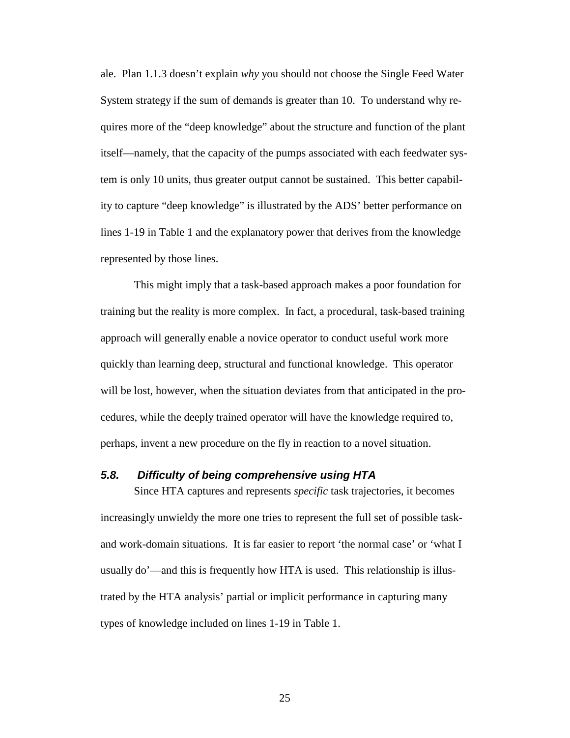ale. Plan 1.1.3 doesn't explain *why* you should not choose the Single Feed Water System strategy if the sum of demands is greater than 10. To understand why requires more of the "deep knowledge" about the structure and function of the plant itself—namely, that the capacity of the pumps associated with each feedwater system is only 10 units, thus greater output cannot be sustained. This better capability to capture "deep knowledge" is illustrated by the ADS' better performance on lines 1-19 in Table 1 and the explanatory power that derives from the knowledge represented by those lines.

This might imply that a task-based approach makes a poor foundation for training but the reality is more complex. In fact, a procedural, task-based training approach will generally enable a novice operator to conduct useful work more quickly than learning deep, structural and functional knowledge. This operator will be lost, however, when the situation deviates from that anticipated in the procedures, while the deeply trained operator will have the knowledge required to, perhaps, invent a new procedure on the fly in reaction to a novel situation.

#### **5.8. Difficulty of being comprehensive using HTA**

Since HTA captures and represents *specific* task trajectories, it becomes increasingly unwieldy the more one tries to represent the full set of possible taskand work-domain situations. It is far easier to report 'the normal case' or 'what I usually do'—and this is frequently how HTA is used. This relationship is illustrated by the HTA analysis' partial or implicit performance in capturing many types of knowledge included on lines 1-19 in Table 1.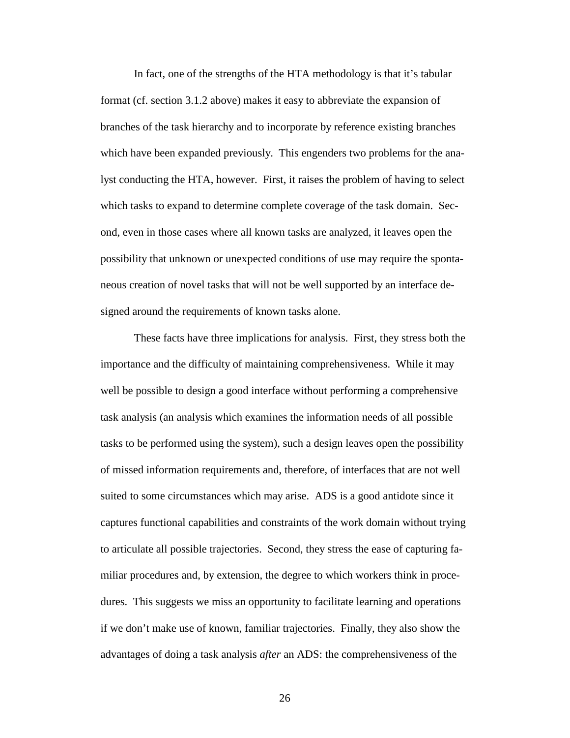In fact, one of the strengths of the HTA methodology is that it's tabular format (cf. section 3.1.2 above) makes it easy to abbreviate the expansion of branches of the task hierarchy and to incorporate by reference existing branches which have been expanded previously. This engenders two problems for the analyst conducting the HTA, however. First, it raises the problem of having to select which tasks to expand to determine complete coverage of the task domain. Second, even in those cases where all known tasks are analyzed, it leaves open the possibility that unknown or unexpected conditions of use may require the spontaneous creation of novel tasks that will not be well supported by an interface designed around the requirements of known tasks alone.

These facts have three implications for analysis. First, they stress both the importance and the difficulty of maintaining comprehensiveness. While it may well be possible to design a good interface without performing a comprehensive task analysis (an analysis which examines the information needs of all possible tasks to be performed using the system), such a design leaves open the possibility of missed information requirements and, therefore, of interfaces that are not well suited to some circumstances which may arise. ADS is a good antidote since it captures functional capabilities and constraints of the work domain without trying to articulate all possible trajectories. Second, they stress the ease of capturing familiar procedures and, by extension, the degree to which workers think in procedures. This suggests we miss an opportunity to facilitate learning and operations if we don't make use of known, familiar trajectories. Finally, they also show the advantages of doing a task analysis *after* an ADS: the comprehensiveness of the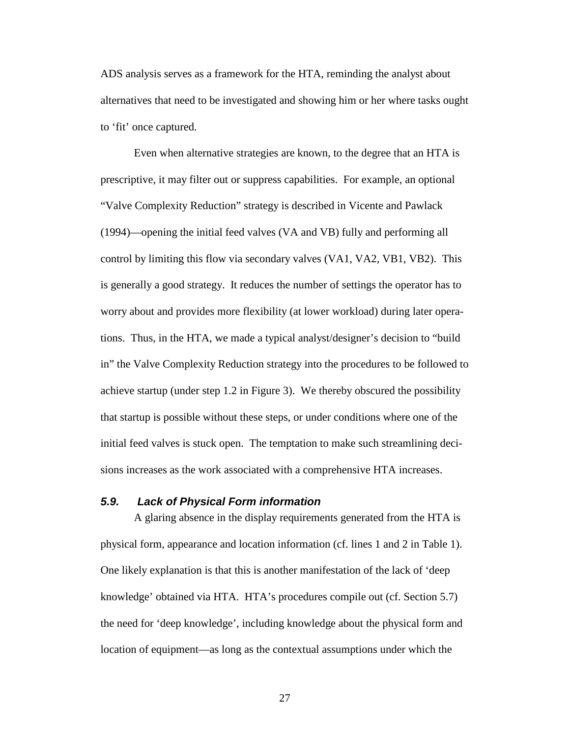ADS analysis serves as a framework for the HTA, reminding the analyst about alternatives that need to be investigated and showing him or her where tasks ought to 'fit' once captured.

Even when alternative strategies are known, to the degree that an HTA is prescriptive, it may filter out or suppress capabilities. For example, an optional "Valve Complexity Reduction" strategy is described in Vicente and Pawlack (1994)—opening the initial feed valves (VA and VB) fully and performing all control by limiting this flow via secondary valves (VA1, VA2, VB1, VB2). This is generally a good strategy. It reduces the number of settings the operator has to worry about and provides more flexibility (at lower workload) during later operations. Thus, in the HTA, we made a typical analyst/designer's decision to "build in" the Valve Complexity Reduction strategy into the procedures to be followed to achieve startup (under step 1.2 in Figure 3). We thereby obscured the possibility that startup is possible without these steps, or under conditions where one of the initial feed valves is stuck open. The temptation to make such streamlining decisions increases as the work associated with a comprehensive HTA increases.

#### **5.9. Lack of Physical Form information**

A glaring absence in the display requirements generated from the HTA is physical form, appearance and location information (cf. lines 1 and 2 in Table 1). One likely explanation is that this is another manifestation of the lack of 'deep knowledge' obtained via HTA. HTA's procedures compile out (cf. Section 5.7) the need for 'deep knowledge', including knowledge about the physical form and location of equipment—as long as the contextual assumptions under which the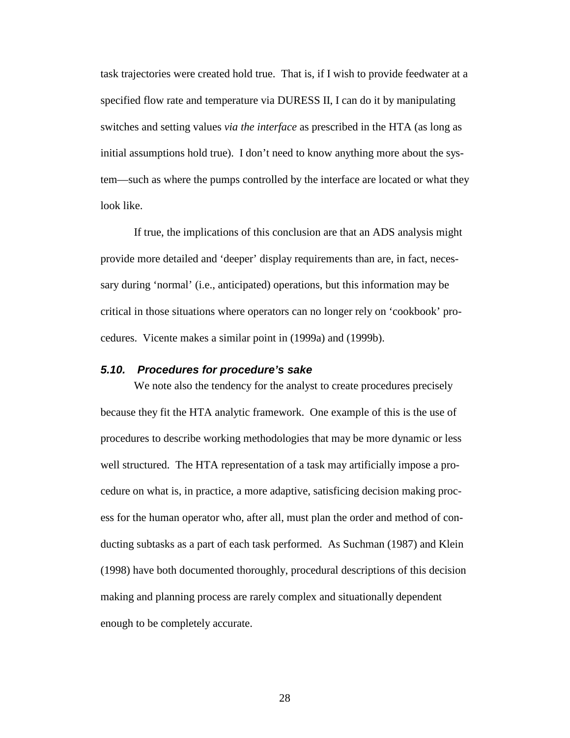task trajectories were created hold true. That is, if I wish to provide feedwater at a specified flow rate and temperature via DURESS II, I can do it by manipulating switches and setting values *via the interface* as prescribed in the HTA (as long as initial assumptions hold true). I don't need to know anything more about the system—such as where the pumps controlled by the interface are located or what they look like.

If true, the implications of this conclusion are that an ADS analysis might provide more detailed and 'deeper' display requirements than are, in fact, necessary during 'normal' (i.e., anticipated) operations, but this information may be critical in those situations where operators can no longer rely on 'cookbook' procedures. Vicente makes a similar point in (1999a) and (1999b).

#### **5.10. Procedures for procedure's sake**

We note also the tendency for the analyst to create procedures precisely because they fit the HTA analytic framework. One example of this is the use of procedures to describe working methodologies that may be more dynamic or less well structured. The HTA representation of a task may artificially impose a procedure on what is, in practice, a more adaptive, satisficing decision making process for the human operator who, after all, must plan the order and method of conducting subtasks as a part of each task performed. As Suchman (1987) and Klein (1998) have both documented thoroughly, procedural descriptions of this decision making and planning process are rarely complex and situationally dependent enough to be completely accurate.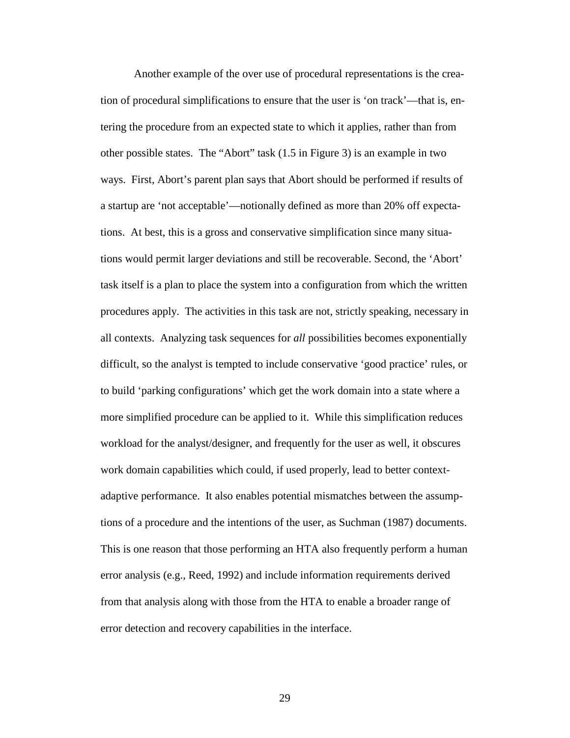Another example of the over use of procedural representations is the creation of procedural simplifications to ensure that the user is 'on track'—that is, entering the procedure from an expected state to which it applies, rather than from other possible states. The "Abort" task (1.5 in Figure 3) is an example in two ways. First, Abort's parent plan says that Abort should be performed if results of a startup are 'not acceptable'—notionally defined as more than 20% off expectations. At best, this is a gross and conservative simplification since many situations would permit larger deviations and still be recoverable. Second, the 'Abort' task itself is a plan to place the system into a configuration from which the written procedures apply. The activities in this task are not, strictly speaking, necessary in all contexts. Analyzing task sequences for *all* possibilities becomes exponentially difficult, so the analyst is tempted to include conservative 'good practice' rules, or to build 'parking configurations' which get the work domain into a state where a more simplified procedure can be applied to it. While this simplification reduces workload for the analyst/designer, and frequently for the user as well, it obscures work domain capabilities which could, if used properly, lead to better contextadaptive performance. It also enables potential mismatches between the assumptions of a procedure and the intentions of the user, as Suchman (1987) documents. This is one reason that those performing an HTA also frequently perform a human error analysis (e.g., Reed, 1992) and include information requirements derived from that analysis along with those from the HTA to enable a broader range of error detection and recovery capabilities in the interface.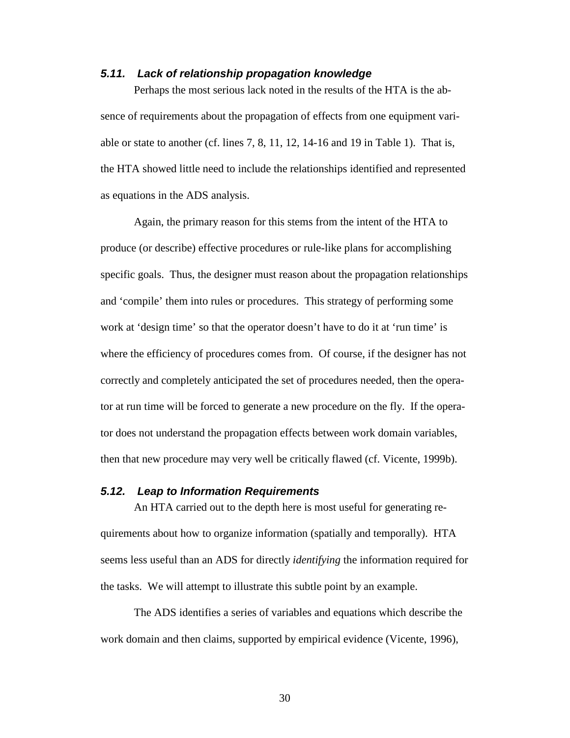#### **5.11. Lack of relationship propagation knowledge**

Perhaps the most serious lack noted in the results of the HTA is the absence of requirements about the propagation of effects from one equipment variable or state to another (cf. lines 7, 8, 11, 12, 14-16 and 19 in Table 1). That is, the HTA showed little need to include the relationships identified and represented as equations in the ADS analysis.

Again, the primary reason for this stems from the intent of the HTA to produce (or describe) effective procedures or rule-like plans for accomplishing specific goals. Thus, the designer must reason about the propagation relationships and 'compile' them into rules or procedures. This strategy of performing some work at 'design time' so that the operator doesn't have to do it at 'run time' is where the efficiency of procedures comes from. Of course, if the designer has not correctly and completely anticipated the set of procedures needed, then the operator at run time will be forced to generate a new procedure on the fly. If the operator does not understand the propagation effects between work domain variables, then that new procedure may very well be critically flawed (cf. Vicente, 1999b).

#### **5.12. Leap to Information Requirements**

An HTA carried out to the depth here is most useful for generating requirements about how to organize information (spatially and temporally). HTA seems less useful than an ADS for directly *identifying* the information required for the tasks. We will attempt to illustrate this subtle point by an example.

The ADS identifies a series of variables and equations which describe the work domain and then claims, supported by empirical evidence (Vicente, 1996),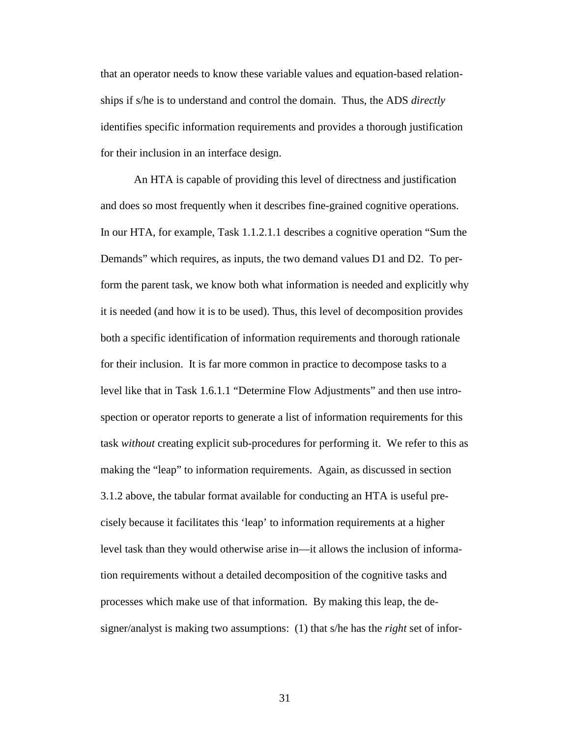that an operator needs to know these variable values and equation-based relationships if s/he is to understand and control the domain. Thus, the ADS *directly* identifies specific information requirements and provides a thorough justification for their inclusion in an interface design.

An HTA is capable of providing this level of directness and justification and does so most frequently when it describes fine-grained cognitive operations. In our HTA, for example, Task 1.1.2.1.1 describes a cognitive operation "Sum the Demands" which requires, as inputs, the two demand values D1 and D2. To perform the parent task, we know both what information is needed and explicitly why it is needed (and how it is to be used). Thus, this level of decomposition provides both a specific identification of information requirements and thorough rationale for their inclusion. It is far more common in practice to decompose tasks to a level like that in Task 1.6.1.1 "Determine Flow Adjustments" and then use introspection or operator reports to generate a list of information requirements for this task *without* creating explicit sub-procedures for performing it. We refer to this as making the "leap" to information requirements. Again, as discussed in section 3.1.2 above, the tabular format available for conducting an HTA is useful precisely because it facilitates this 'leap' to information requirements at a higher level task than they would otherwise arise in—it allows the inclusion of information requirements without a detailed decomposition of the cognitive tasks and processes which make use of that information. By making this leap, the designer/analyst is making two assumptions: (1) that s/he has the *right* set of infor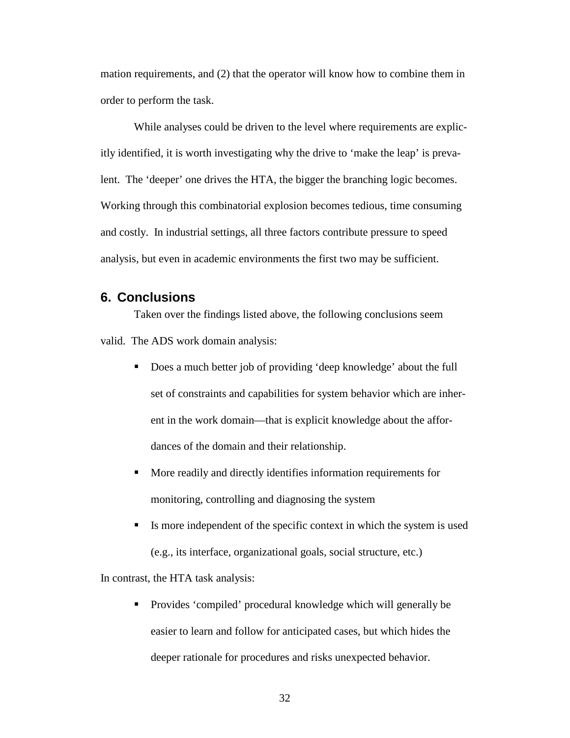mation requirements, and (2) that the operator will know how to combine them in order to perform the task.

While analyses could be driven to the level where requirements are explicitly identified, it is worth investigating why the drive to 'make the leap' is prevalent. The 'deeper' one drives the HTA, the bigger the branching logic becomes. Working through this combinatorial explosion becomes tedious, time consuming and costly. In industrial settings, all three factors contribute pressure to speed analysis, but even in academic environments the first two may be sufficient.

## **6. Conclusions**

Taken over the findings listed above, the following conclusions seem valid. The ADS work domain analysis:

- Does a much better job of providing 'deep knowledge' about the full set of constraints and capabilities for system behavior which are inherent in the work domain—that is explicit knowledge about the affordances of the domain and their relationship.
- More readily and directly identifies information requirements for monitoring, controlling and diagnosing the system
- $\blacksquare$  Is more independent of the specific context in which the system is used (e.g., its interface, organizational goals, social structure, etc.)

In contrast, the HTA task analysis:

 Provides 'compiled' procedural knowledge which will generally be easier to learn and follow for anticipated cases, but which hides the deeper rationale for procedures and risks unexpected behavior.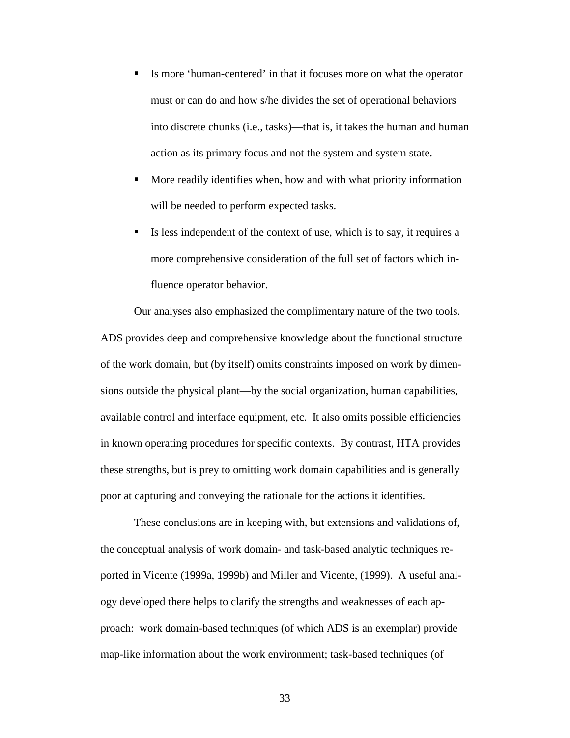- Is more 'human-centered' in that it focuses more on what the operator must or can do and how s/he divides the set of operational behaviors into discrete chunks (i.e., tasks)—that is, it takes the human and human action as its primary focus and not the system and system state.
- More readily identifies when, how and with what priority information will be needed to perform expected tasks.
- Is less independent of the context of use, which is to say, it requires a more comprehensive consideration of the full set of factors which influence operator behavior.

Our analyses also emphasized the complimentary nature of the two tools. ADS provides deep and comprehensive knowledge about the functional structure of the work domain, but (by itself) omits constraints imposed on work by dimensions outside the physical plant—by the social organization, human capabilities, available control and interface equipment, etc. It also omits possible efficiencies in known operating procedures for specific contexts. By contrast, HTA provides these strengths, but is prey to omitting work domain capabilities and is generally poor at capturing and conveying the rationale for the actions it identifies.

These conclusions are in keeping with, but extensions and validations of, the conceptual analysis of work domain- and task-based analytic techniques reported in Vicente (1999a, 1999b) and Miller and Vicente, (1999). A useful analogy developed there helps to clarify the strengths and weaknesses of each approach: work domain-based techniques (of which ADS is an exemplar) provide map-like information about the work environment; task-based techniques (of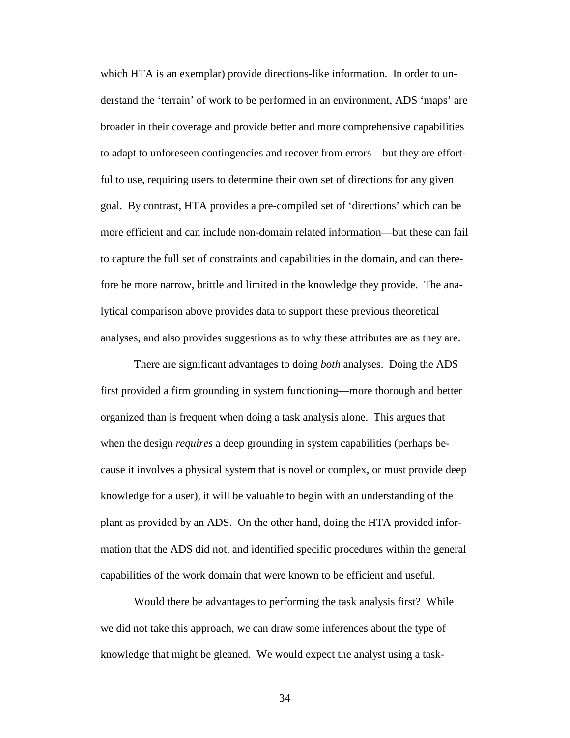which HTA is an exemplar) provide directions-like information. In order to understand the 'terrain' of work to be performed in an environment, ADS 'maps' are broader in their coverage and provide better and more comprehensive capabilities to adapt to unforeseen contingencies and recover from errors—but they are effortful to use, requiring users to determine their own set of directions for any given goal. By contrast, HTA provides a pre-compiled set of 'directions' which can be more efficient and can include non-domain related information—but these can fail to capture the full set of constraints and capabilities in the domain, and can therefore be more narrow, brittle and limited in the knowledge they provide. The analytical comparison above provides data to support these previous theoretical analyses, and also provides suggestions as to why these attributes are as they are.

There are significant advantages to doing *both* analyses. Doing the ADS first provided a firm grounding in system functioning—more thorough and better organized than is frequent when doing a task analysis alone. This argues that when the design *requires* a deep grounding in system capabilities (perhaps because it involves a physical system that is novel or complex, or must provide deep knowledge for a user), it will be valuable to begin with an understanding of the plant as provided by an ADS. On the other hand, doing the HTA provided information that the ADS did not, and identified specific procedures within the general capabilities of the work domain that were known to be efficient and useful.

Would there be advantages to performing the task analysis first? While we did not take this approach, we can draw some inferences about the type of knowledge that might be gleaned. We would expect the analyst using a task-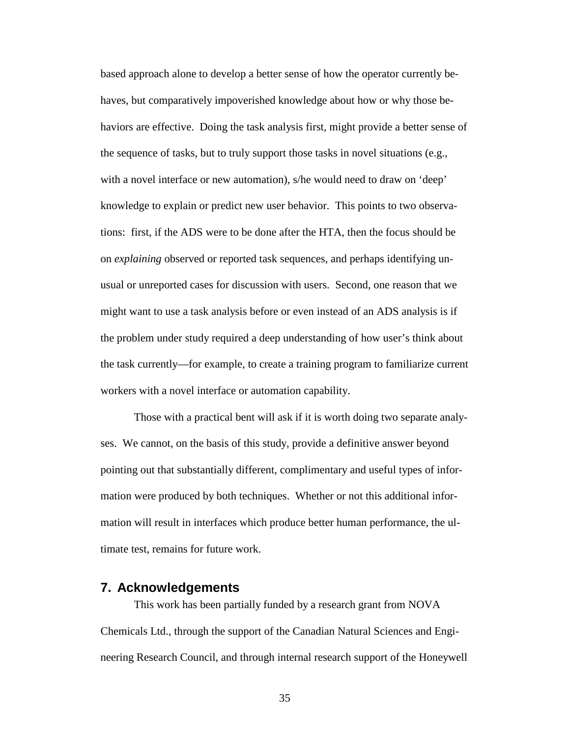based approach alone to develop a better sense of how the operator currently behaves, but comparatively impoverished knowledge about how or why those behaviors are effective. Doing the task analysis first, might provide a better sense of the sequence of tasks, but to truly support those tasks in novel situations (e.g., with a novel interface or new automation), s/he would need to draw on 'deep' knowledge to explain or predict new user behavior. This points to two observations: first, if the ADS were to be done after the HTA, then the focus should be on *explaining* observed or reported task sequences, and perhaps identifying unusual or unreported cases for discussion with users. Second, one reason that we might want to use a task analysis before or even instead of an ADS analysis is if the problem under study required a deep understanding of how user's think about the task currently—for example, to create a training program to familiarize current workers with a novel interface or automation capability.

Those with a practical bent will ask if it is worth doing two separate analyses. We cannot, on the basis of this study, provide a definitive answer beyond pointing out that substantially different, complimentary and useful types of information were produced by both techniques. Whether or not this additional information will result in interfaces which produce better human performance, the ultimate test, remains for future work.

# **7. Acknowledgements**

This work has been partially funded by a research grant from NOVA Chemicals Ltd., through the support of the Canadian Natural Sciences and Engineering Research Council, and through internal research support of the Honeywell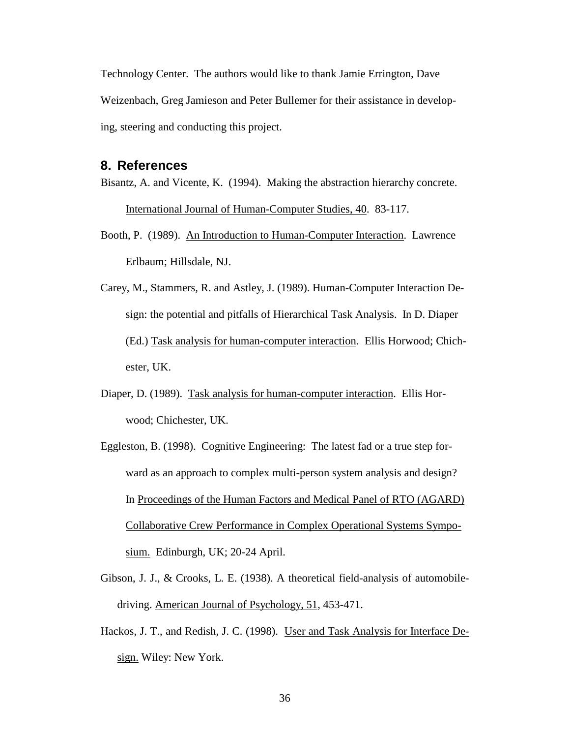Technology Center. The authors would like to thank Jamie Errington, Dave Weizenbach, Greg Jamieson and Peter Bullemer for their assistance in developing, steering and conducting this project.

## **8. References**

- Bisantz, A. and Vicente, K. (1994). Making the abstraction hierarchy concrete. International Journal of Human-Computer Studies, 40. 83-117.
- Booth, P. (1989). An Introduction to Human-Computer Interaction. Lawrence Erlbaum; Hillsdale, NJ.
- Carey, M., Stammers, R. and Astley, J. (1989). Human-Computer Interaction Design: the potential and pitfalls of Hierarchical Task Analysis. In D. Diaper (Ed.) Task analysis for human-computer interaction. Ellis Horwood; Chichester, UK.
- Diaper, D. (1989). Task analysis for human-computer interaction. Ellis Horwood; Chichester, UK.
- Eggleston, B. (1998). Cognitive Engineering: The latest fad or a true step forward as an approach to complex multi-person system analysis and design? In Proceedings of the Human Factors and Medical Panel of RTO (AGARD) Collaborative Crew Performance in Complex Operational Systems Symposium. Edinburgh, UK; 20-24 April.
- Gibson, J. J., & Crooks, L. E. (1938). A theoretical field-analysis of automobiledriving. American Journal of Psychology, 51, 453-471.
- Hackos, J. T., and Redish, J. C. (1998). User and Task Analysis for Interface Design. Wiley: New York.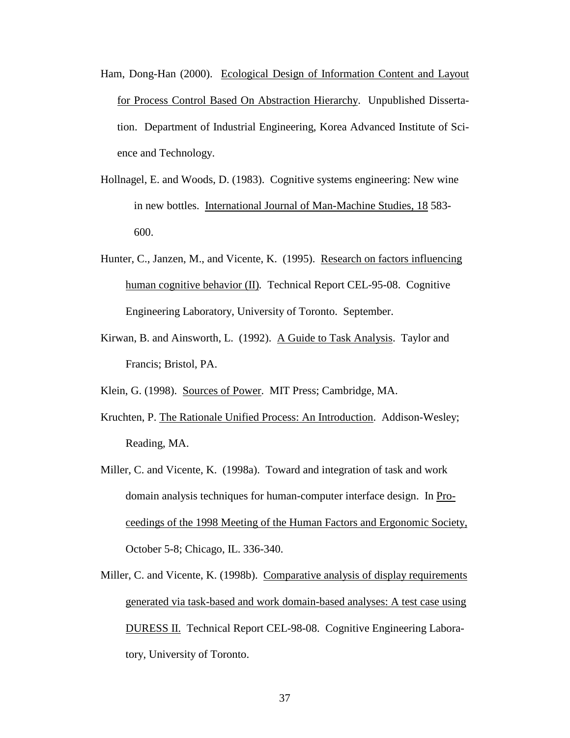- Ham, Dong-Han (2000). Ecological Design of Information Content and Layout for Process Control Based On Abstraction Hierarchy. Unpublished Dissertation. Department of Industrial Engineering, Korea Advanced Institute of Science and Technology.
- Hollnagel, E. and Woods, D. (1983). Cognitive systems engineering: New wine in new bottles. International Journal of Man-Machine Studies, 18 583- 600.
- Hunter, C., Janzen, M., and Vicente, K. (1995). Research on factors influencing human cognitive behavior (II)*.* Technical Report CEL-95-08. Cognitive Engineering Laboratory, University of Toronto. September.
- Kirwan, B. and Ainsworth, L. (1992). A Guide to Task Analysis. Taylor and Francis; Bristol, PA.
- Klein, G. (1998). Sources of Power. MIT Press; Cambridge, MA.
- Kruchten, P. The Rationale Unified Process: An Introduction. Addison-Wesley; Reading, MA.
- Miller, C. and Vicente, K. (1998a). Toward and integration of task and work domain analysis techniques for human-computer interface design. In Proceedings of the 1998 Meeting of the Human Factors and Ergonomic Society, October 5-8; Chicago, IL. 336-340.
- Miller, C. and Vicente, K. (1998b). Comparative analysis of display requirements generated via task-based and work domain-based analyses: A test case using DURESS II. Technical Report CEL-98-08. Cognitive Engineering Laboratory, University of Toronto.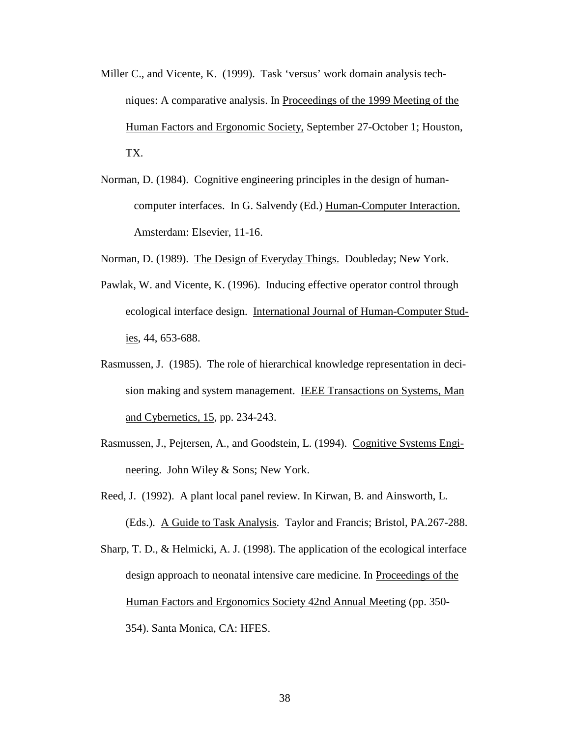- Miller C., and Vicente, K. (1999). Task 'versus' work domain analysis techniques: A comparative analysis. In Proceedings of the 1999 Meeting of the Human Factors and Ergonomic Society, September 27-October 1; Houston, TX.
- Norman, D. (1984). Cognitive engineering principles in the design of humancomputer interfaces. In G. Salvendy (Ed.) Human-Computer Interaction. Amsterdam: Elsevier, 11-16.
- Norman, D. (1989). The Design of Everyday Things. Doubleday; New York.
- Pawlak, W. and Vicente, K. (1996). Inducing effective operator control through ecological interface design. International Journal of Human-Computer Studies, 44, 653-688.
- Rasmussen, J. (1985). The role of hierarchical knowledge representation in decision making and system management. IEEE Transactions on Systems, Man and Cybernetics, 15, pp. 234-243.
- Rasmussen, J., Pejtersen, A., and Goodstein, L. (1994). Cognitive Systems Engineering. John Wiley & Sons; New York.
- Reed, J. (1992). A plant local panel review. In Kirwan, B. and Ainsworth, L. (Eds.). A Guide to Task Analysis. Taylor and Francis; Bristol, PA.267-288.
- Sharp, T. D., & Helmicki, A. J. (1998). The application of the ecological interface design approach to neonatal intensive care medicine. In Proceedings of the Human Factors and Ergonomics Society 42nd Annual Meeting (pp. 350- 354). Santa Monica, CA: HFES.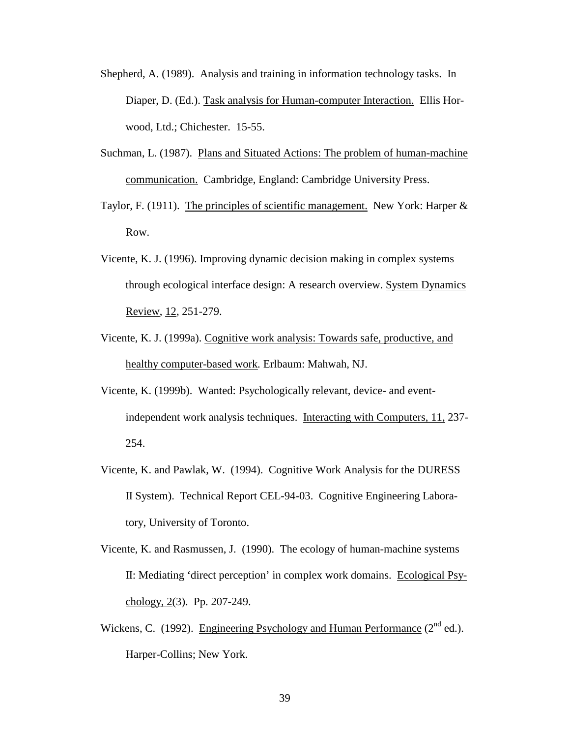- Shepherd, A. (1989). Analysis and training in information technology tasks. In Diaper, D. (Ed.). Task analysis for Human-computer Interaction. Ellis Horwood, Ltd.; Chichester. 15-55.
- Suchman, L. (1987). Plans and Situated Actions: The problem of human-machine communication. Cambridge, England: Cambridge University Press.
- Taylor, F. (1911). The principles of scientific management. New York: Harper & Row.
- Vicente, K. J. (1996). Improving dynamic decision making in complex systems through ecological interface design: A research overview. System Dynamics Review, 12, 251-279.
- Vicente, K. J. (1999a). Cognitive work analysis: Towards safe, productive, and healthy computer-based work*.* Erlbaum: Mahwah, NJ.
- Vicente, K. (1999b). Wanted: Psychologically relevant, device- and eventindependent work analysis techniques. Interacting with Computers, 11, 237- 254.
- Vicente, K. and Pawlak, W. (1994). Cognitive Work Analysis for the DURESS II System). Technical Report CEL-94-03. Cognitive Engineering Laboratory, University of Toronto.
- Vicente, K. and Rasmussen, J. (1990). The ecology of human-machine systems II: Mediating 'direct perception' in complex work domains. Ecological Psychology, 2(3). Pp. 207-249.
- Wickens, C. (1992). Engineering Psychology and Human Performance  $(2^{nd}$  ed.). Harper-Collins; New York.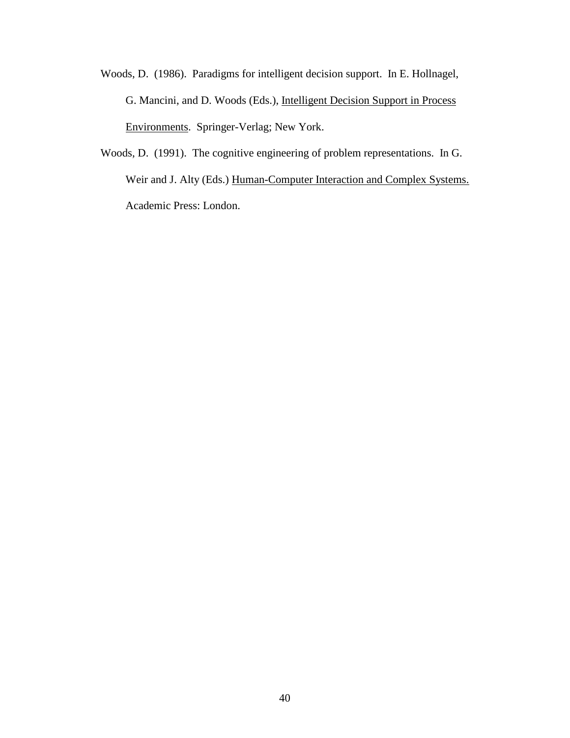- Woods, D. (1986). Paradigms for intelligent decision support. In E. Hollnagel, G. Mancini, and D. Woods (Eds.), Intelligent Decision Support in Process Environments. Springer-Verlag; New York.
- Woods, D. (1991). The cognitive engineering of problem representations. In G. Weir and J. Alty (Eds.) Human-Computer Interaction and Complex Systems. Academic Press: London.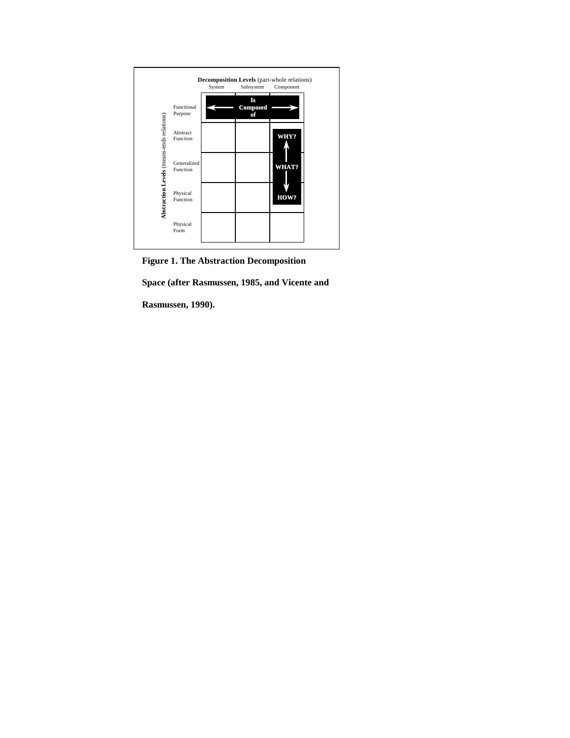

**Figure 1. The Abstraction Decomposition** 

**Space (after Rasmussen, 1985, and Vicente and** 

**Rasmussen, 1990).**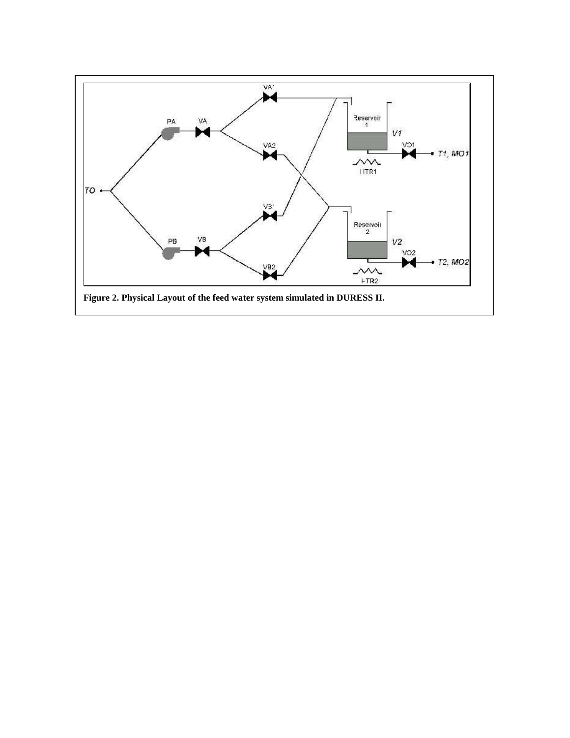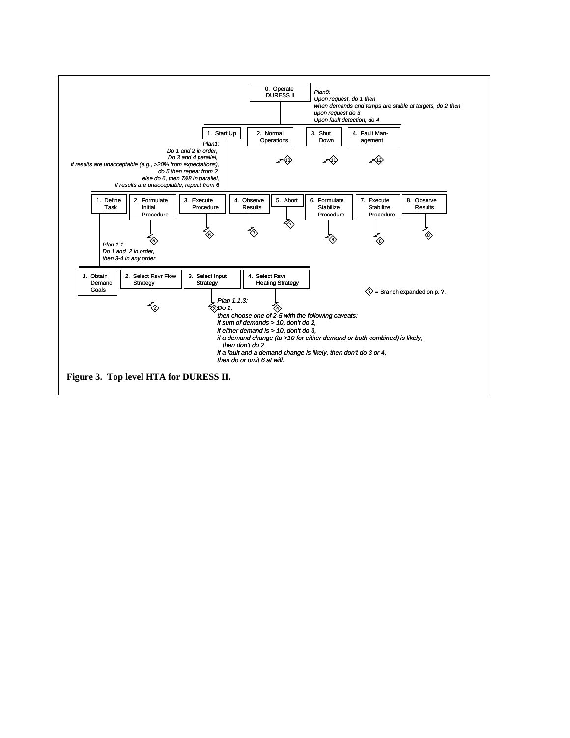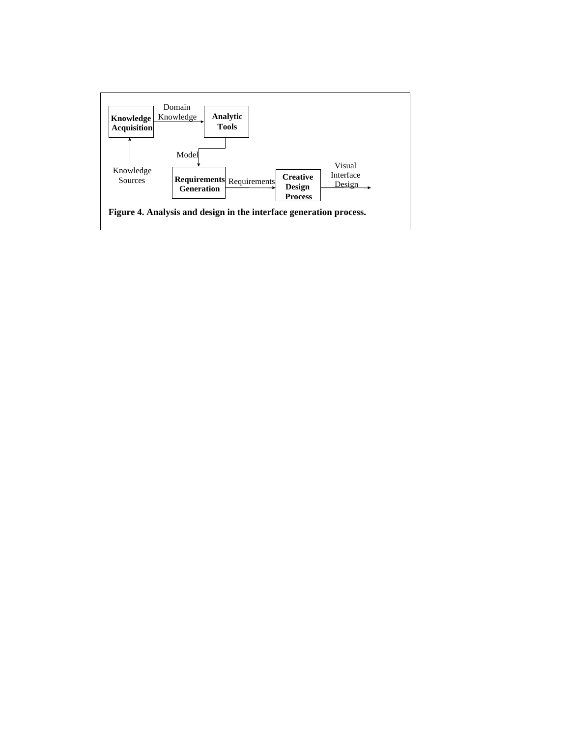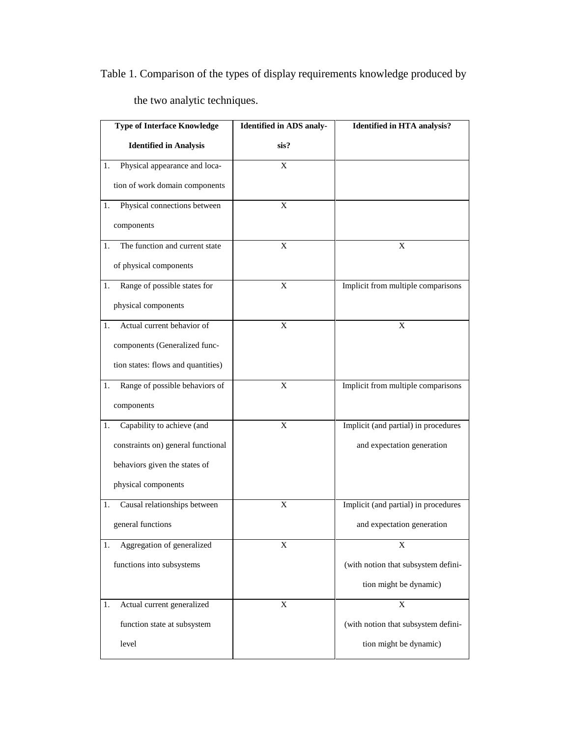Table 1. Comparison of the types of display requirements knowledge produced by

the two analytic techniques.

| <b>Type of Interface Knowledge</b>   | <b>Identified in ADS analy-</b> | <b>Identified in HTA analysis?</b>   |
|--------------------------------------|---------------------------------|--------------------------------------|
| <b>Identified in Analysis</b>        | sis?                            |                                      |
| Physical appearance and loca-<br>1.  | X                               |                                      |
| tion of work domain components       |                                 |                                      |
| Physical connections between<br>1.   | X                               |                                      |
| components                           |                                 |                                      |
| The function and current state<br>1. | X                               | X                                    |
| of physical components               |                                 |                                      |
| Range of possible states for<br>1.   | X                               | Implicit from multiple comparisons   |
| physical components                  |                                 |                                      |
| Actual current behavior of<br>1.     | X                               | X                                    |
| components (Generalized func-        |                                 |                                      |
| tion states: flows and quantities)   |                                 |                                      |
| Range of possible behaviors of<br>1. | X                               | Implicit from multiple comparisons   |
| components                           |                                 |                                      |
| Capability to achieve (and<br>1.     | X                               | Implicit (and partial) in procedures |
| constraints on) general functional   |                                 | and expectation generation           |
| behaviors given the states of        |                                 |                                      |
| physical components                  |                                 |                                      |
| Causal relationships between<br>1.   | X                               | Implicit (and partial) in procedures |
| general functions                    |                                 | and expectation generation           |
| Aggregation of generalized<br>1.     | X                               | X                                    |
| functions into subsystems            |                                 | (with notion that subsystem defini-  |
|                                      |                                 | tion might be dynamic)               |
| Actual current generalized<br>1.     | X                               | X                                    |
| function state at subsystem          |                                 | (with notion that subsystem defini-  |
| level                                |                                 | tion might be dynamic)               |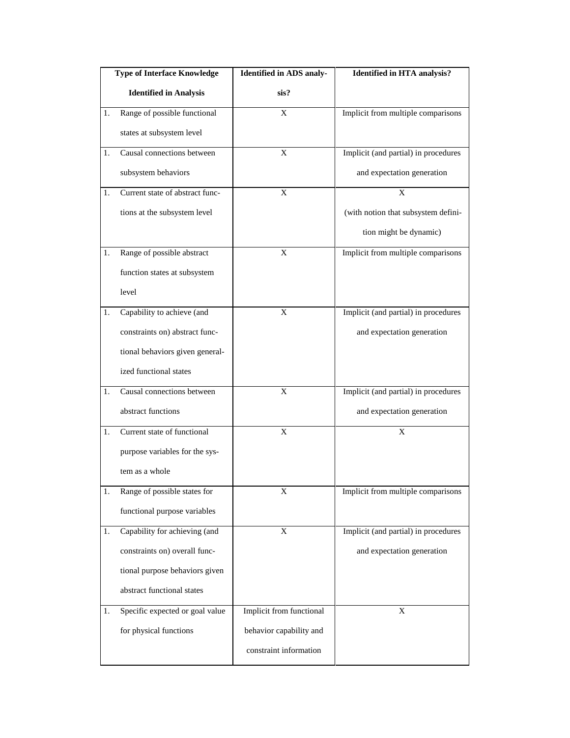|    | <b>Type of Interface Knowledge</b> | <b>Identified in ADS analy-</b> | <b>Identified in HTA analysis?</b>   |
|----|------------------------------------|---------------------------------|--------------------------------------|
|    | <b>Identified in Analysis</b>      | sis?                            |                                      |
| 1. | Range of possible functional       | X                               | Implicit from multiple comparisons   |
|    | states at subsystem level          |                                 |                                      |
| 1. | Causal connections between         | X                               | Implicit (and partial) in procedures |
|    | subsystem behaviors                |                                 | and expectation generation           |
| 1. | Current state of abstract func-    | X                               | $\overline{\mathbf{X}}$              |
|    | tions at the subsystem level       |                                 | (with notion that subsystem defini-  |
|    |                                    |                                 | tion might be dynamic)               |
| 1. | Range of possible abstract         | X                               | Implicit from multiple comparisons   |
|    | function states at subsystem       |                                 |                                      |
|    | level                              |                                 |                                      |
| 1. | Capability to achieve (and         | X                               | Implicit (and partial) in procedures |
|    | constraints on) abstract func-     |                                 | and expectation generation           |
|    | tional behaviors given general-    |                                 |                                      |
|    | ized functional states             |                                 |                                      |
| 1. | Causal connections between         | X                               | Implicit (and partial) in procedures |
|    | abstract functions                 |                                 | and expectation generation           |
| 1. | Current state of functional        | X                               | X                                    |
|    | purpose variables for the sys-     |                                 |                                      |
|    | tem as a whole                     |                                 |                                      |
| 1. | Range of possible states for       | X                               | Implicit from multiple comparisons   |
|    | functional purpose variables       |                                 |                                      |
| 1. | Capability for achieving (and      | X                               | Implicit (and partial) in procedures |
|    | constraints on) overall func-      |                                 | and expectation generation           |
|    | tional purpose behaviors given     |                                 |                                      |
|    | abstract functional states         |                                 |                                      |
| 1. | Specific expected or goal value    | Implicit from functional        | X                                    |
|    | for physical functions             | behavior capability and         |                                      |
|    |                                    | constraint information          |                                      |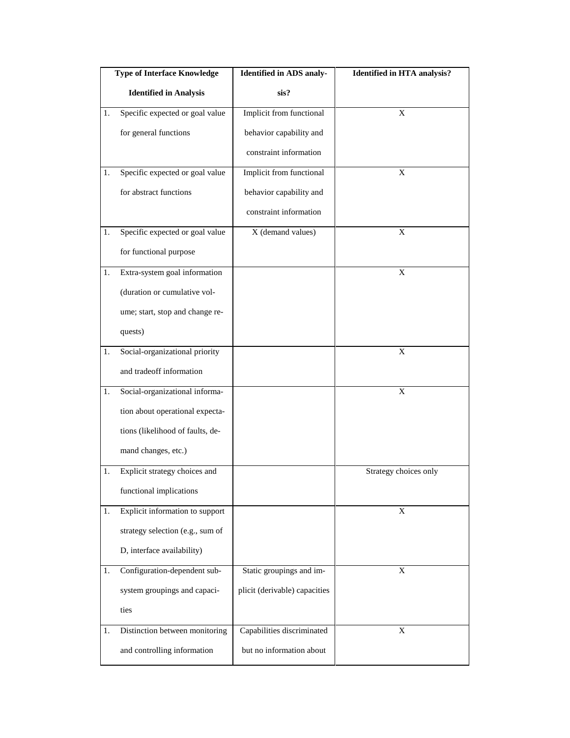|    | <b>Type of Interface Knowledge</b> | <b>Identified in ADS analy-</b> | <b>Identified in HTA analysis?</b> |
|----|------------------------------------|---------------------------------|------------------------------------|
|    | <b>Identified in Analysis</b>      | sis?                            |                                    |
| 1. | Specific expected or goal value    | Implicit from functional        | X                                  |
|    | for general functions              | behavior capability and         |                                    |
|    |                                    | constraint information          |                                    |
| 1. | Specific expected or goal value    | Implicit from functional        | X                                  |
|    | for abstract functions             | behavior capability and         |                                    |
|    |                                    | constraint information          |                                    |
| 1. | Specific expected or goal value    | X (demand values)               | X                                  |
|    | for functional purpose             |                                 |                                    |
| 1. | Extra-system goal information      |                                 | X                                  |
|    | (duration or cumulative vol-       |                                 |                                    |
|    | ume; start, stop and change re-    |                                 |                                    |
|    | quests)                            |                                 |                                    |
| 1. | Social-organizational priority     |                                 | X                                  |
|    | and tradeoff information           |                                 |                                    |
| 1. | Social-organizational informa-     |                                 | X                                  |
|    | tion about operational expecta-    |                                 |                                    |
|    | tions (likelihood of faults, de-   |                                 |                                    |
|    | mand changes, etc.)                |                                 |                                    |
| 1. | Explicit strategy choices and      |                                 | Strategy choices only              |
|    | functional implications            |                                 |                                    |
| 1. | Explicit information to support    |                                 | X                                  |
|    | strategy selection (e.g., sum of   |                                 |                                    |
|    | D, interface availability)         |                                 |                                    |
| 1. | Configuration-dependent sub-       | Static groupings and im-        | X                                  |
|    | system groupings and capaci-       | plicit (derivable) capacities   |                                    |
|    | ties                               |                                 |                                    |
| 1. | Distinction between monitoring     | Capabilities discriminated      | X                                  |
|    | and controlling information        | but no information about        |                                    |